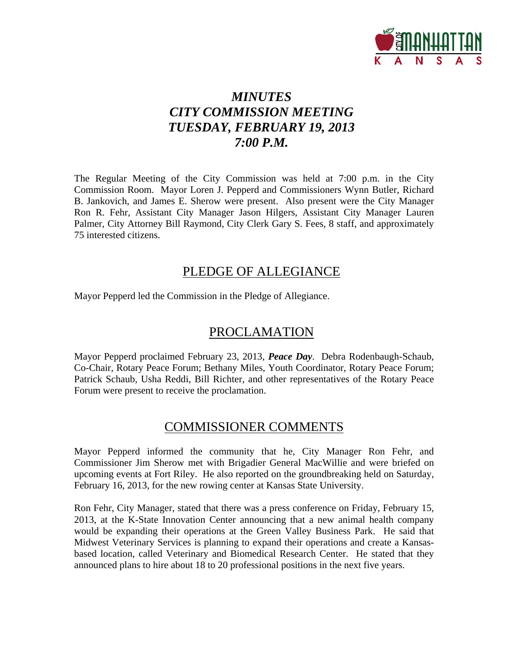

# *MINUTES CITY COMMISSION MEETING TUESDAY, FEBRUARY 19, 2013 7:00 P.M.*

The Regular Meeting of the City Commission was held at 7:00 p.m. in the City Commission Room. Mayor Loren J. Pepperd and Commissioners Wynn Butler, Richard B. Jankovich, and James E. Sherow were present. Also present were the City Manager Ron R. Fehr, Assistant City Manager Jason Hilgers, Assistant City Manager Lauren Palmer, City Attorney Bill Raymond, City Clerk Gary S. Fees, 8 staff, and approximately 75 interested citizens.

# PLEDGE OF ALLEGIANCE

Mayor Pepperd led the Commission in the Pledge of Allegiance.

# PROCLAMATION

Mayor Pepperd proclaimed February 23, 2013, *Peace Day*. Debra Rodenbaugh-Schaub, Co-Chair, Rotary Peace Forum; Bethany Miles, Youth Coordinator, Rotary Peace Forum; Patrick Schaub, Usha Reddi, Bill Richter, and other representatives of the Rotary Peace Forum were present to receive the proclamation.

# COMMISSIONER COMMENTS

Mayor Pepperd informed the community that he, City Manager Ron Fehr, and Commissioner Jim Sherow met with Brigadier General MacWillie and were briefed on upcoming events at Fort Riley. He also reported on the groundbreaking held on Saturday, February 16, 2013, for the new rowing center at Kansas State University.

Ron Fehr, City Manager, stated that there was a press conference on Friday, February 15, 2013, at the K-State Innovation Center announcing that a new animal health company would be expanding their operations at the Green Valley Business Park. He said that Midwest Veterinary Services is planning to expand their operations and create a Kansasbased location, called Veterinary and Biomedical Research Center. He stated that they announced plans to hire about 18 to 20 professional positions in the next five years.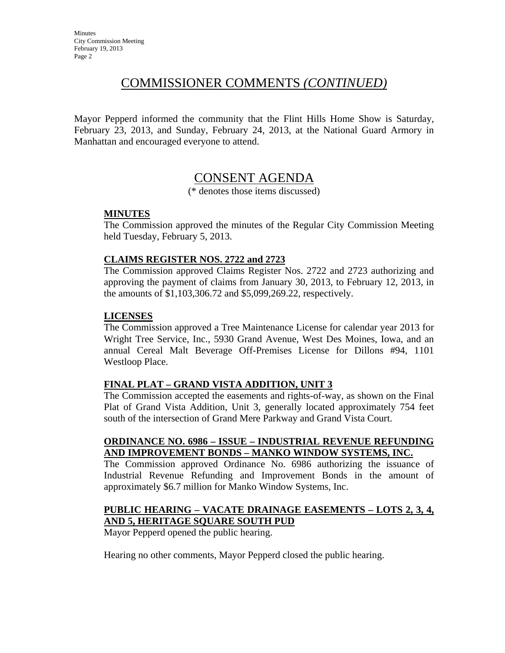# COMMISSIONER COMMENTS *(CONTINUED)*

Mayor Pepperd informed the community that the Flint Hills Home Show is Saturday, February 23, 2013, and Sunday, February 24, 2013, at the National Guard Armory in Manhattan and encouraged everyone to attend.

# CONSENT AGENDA

(\* denotes those items discussed)

## **MINUTES**

The Commission approved the minutes of the Regular City Commission Meeting held Tuesday, February 5, 2013.

## **CLAIMS REGISTER NOS. 2722 and 2723**

The Commission approved Claims Register Nos. 2722 and 2723 authorizing and approving the payment of claims from January 30, 2013, to February 12, 2013, in the amounts of \$1,103,306.72 and \$5,099,269.22, respectively.

### **LICENSES**

The Commission approved a Tree Maintenance License for calendar year 2013 for Wright Tree Service, Inc., 5930 Grand Avenue, West Des Moines, Iowa, and an annual Cereal Malt Beverage Off-Premises License for Dillons #94, 1101 Westloop Place.

## **FINAL PLAT – GRAND VISTA ADDITION, UNIT 3**

The Commission accepted the easements and rights-of-way, as shown on the Final Plat of Grand Vista Addition, Unit 3, generally located approximately 754 feet south of the intersection of Grand Mere Parkway and Grand Vista Court.

### **ORDINANCE NO. 6986 – ISSUE – INDUSTRIAL REVENUE REFUNDING AND IMPROVEMENT BONDS – MANKO WINDOW SYSTEMS, INC.**

The Commission approved Ordinance No. 6986 authorizing the issuance of Industrial Revenue Refunding and Improvement Bonds in the amount of approximately \$6.7 million for Manko Window Systems, Inc.

### **PUBLIC HEARING – VACATE DRAINAGE EASEMENTS – LOTS 2, 3, 4, AND 5, HERITAGE SQUARE SOUTH PUD**

Mayor Pepperd opened the public hearing.

Hearing no other comments, Mayor Pepperd closed the public hearing.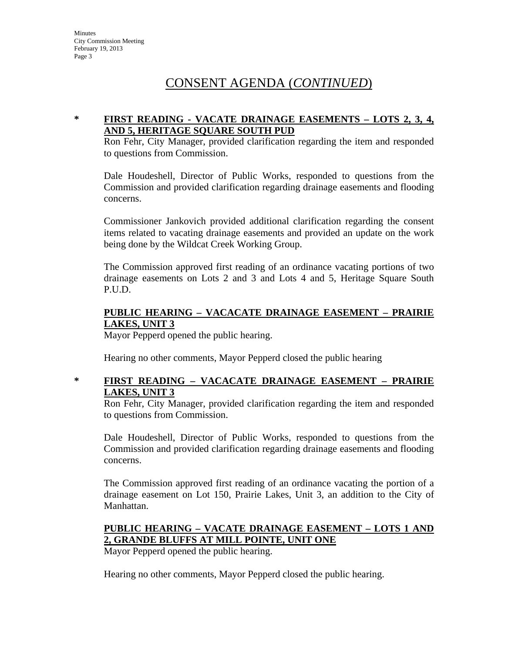# CONSENT AGENDA (*CONTINUED*)

### **\* FIRST READING - VACATE DRAINAGE EASEMENTS – LOTS 2, 3, 4, AND 5, HERITAGE SQUARE SOUTH PUD**

Ron Fehr, City Manager, provided clarification regarding the item and responded to questions from Commission.

Dale Houdeshell, Director of Public Works, responded to questions from the Commission and provided clarification regarding drainage easements and flooding concerns.

Commissioner Jankovich provided additional clarification regarding the consent items related to vacating drainage easements and provided an update on the work being done by the Wildcat Creek Working Group.

The Commission approved first reading of an ordinance vacating portions of two drainage easements on Lots 2 and 3 and Lots 4 and 5, Heritage Square South P.U.D.

#### **PUBLIC HEARING – VACACATE DRAINAGE EASEMENT – PRAIRIE LAKES, UNIT 3**

Mayor Pepperd opened the public hearing.

Hearing no other comments, Mayor Pepperd closed the public hearing

## **\* FIRST READING – VACACATE DRAINAGE EASEMENT – PRAIRIE LAKES, UNIT 3**

Ron Fehr, City Manager, provided clarification regarding the item and responded to questions from Commission.

Dale Houdeshell, Director of Public Works, responded to questions from the Commission and provided clarification regarding drainage easements and flooding concerns.

The Commission approved first reading of an ordinance vacating the portion of a drainage easement on Lot 150, Prairie Lakes, Unit 3, an addition to the City of Manhattan.

## **PUBLIC HEARING – VACATE DRAINAGE EASEMENT – LOTS 1 AND 2, GRANDE BLUFFS AT MILL POINTE, UNIT ONE**

Mayor Pepperd opened the public hearing.

Hearing no other comments, Mayor Pepperd closed the public hearing.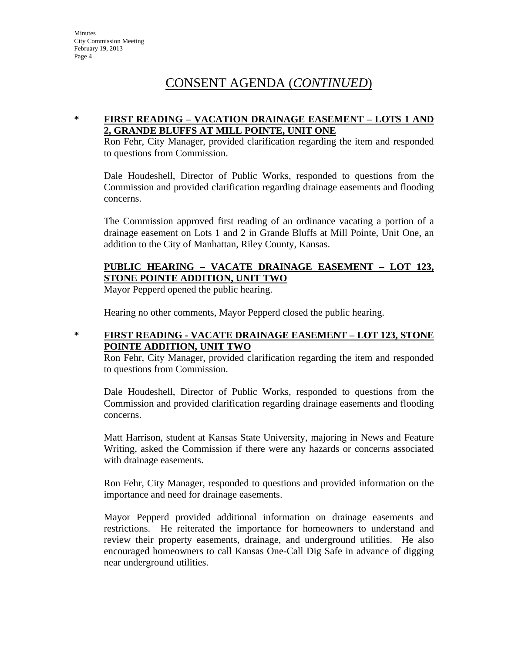# CONSENT AGENDA (*CONTINUED*)

### **\* FIRST READING – VACATION DRAINAGE EASEMENT – LOTS 1 AND 2, GRANDE BLUFFS AT MILL POINTE, UNIT ONE**

Ron Fehr, City Manager, provided clarification regarding the item and responded to questions from Commission.

Dale Houdeshell, Director of Public Works, responded to questions from the Commission and provided clarification regarding drainage easements and flooding concerns.

The Commission approved first reading of an ordinance vacating a portion of a drainage easement on Lots 1 and 2 in Grande Bluffs at Mill Pointe, Unit One, an addition to the City of Manhattan, Riley County, Kansas.

## **PUBLIC HEARING – VACATE DRAINAGE EASEMENT – LOT 123, STONE POINTE ADDITION, UNIT TWO**

Mayor Pepperd opened the public hearing.

Hearing no other comments, Mayor Pepperd closed the public hearing.

#### **\* FIRST READING - VACATE DRAINAGE EASEMENT – LOT 123, STONE POINTE ADDITION, UNIT TWO**

Ron Fehr, City Manager, provided clarification regarding the item and responded to questions from Commission.

Dale Houdeshell, Director of Public Works, responded to questions from the Commission and provided clarification regarding drainage easements and flooding concerns.

Matt Harrison, student at Kansas State University, majoring in News and Feature Writing, asked the Commission if there were any hazards or concerns associated with drainage easements.

Ron Fehr, City Manager, responded to questions and provided information on the importance and need for drainage easements.

Mayor Pepperd provided additional information on drainage easements and restrictions. He reiterated the importance for homeowners to understand and review their property easements, drainage, and underground utilities. He also encouraged homeowners to call Kansas One-Call Dig Safe in advance of digging near underground utilities.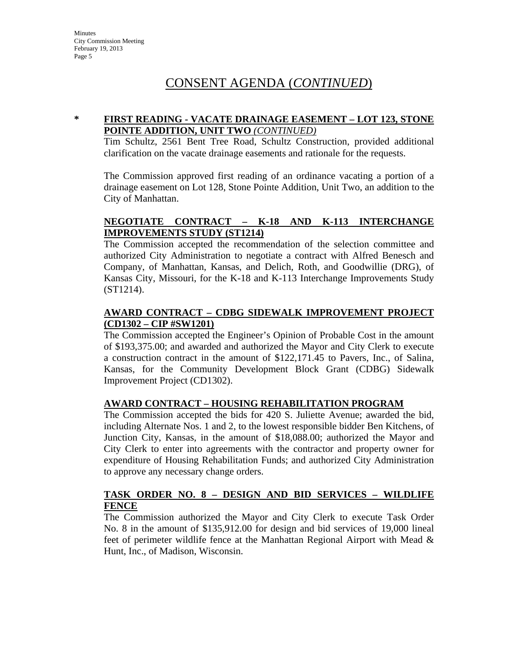# CONSENT AGENDA (*CONTINUED*)

#### **\* FIRST READING - VACATE DRAINAGE EASEMENT – LOT 123, STONE POINTE ADDITION, UNIT TWO** *(CONTINUED)*

Tim Schultz, 2561 Bent Tree Road, Schultz Construction, provided additional clarification on the vacate drainage easements and rationale for the requests.

The Commission approved first reading of an ordinance vacating a portion of a drainage easement on Lot 128, Stone Pointe Addition, Unit Two, an addition to the City of Manhattan.

### **NEGOTIATE CONTRACT – K-18 AND K-113 INTERCHANGE IMPROVEMENTS STUDY (ST1214)**

The Commission accepted the recommendation of the selection committee and authorized City Administration to negotiate a contract with Alfred Benesch and Company, of Manhattan, Kansas, and Delich, Roth, and Goodwillie (DRG), of Kansas City, Missouri, for the K-18 and K-113 Interchange Improvements Study (ST1214).

### **AWARD CONTRACT – CDBG SIDEWALK IMPROVEMENT PROJECT (CD1302 – CIP #SW1201)**

The Commission accepted the Engineer's Opinion of Probable Cost in the amount of \$193,375.00; and awarded and authorized the Mayor and City Clerk to execute a construction contract in the amount of \$122,171.45 to Pavers, Inc., of Salina, Kansas, for the Community Development Block Grant (CDBG) Sidewalk Improvement Project (CD1302).

### **AWARD CONTRACT – HOUSING REHABILITATION PROGRAM**

The Commission accepted the bids for 420 S. Juliette Avenue; awarded the bid, including Alternate Nos. 1 and 2, to the lowest responsible bidder Ben Kitchens, of Junction City, Kansas, in the amount of \$18,088.00; authorized the Mayor and City Clerk to enter into agreements with the contractor and property owner for expenditure of Housing Rehabilitation Funds; and authorized City Administration to approve any necessary change orders.

### **TASK ORDER NO. 8 – DESIGN AND BID SERVICES – WILDLIFE FENCE**

The Commission authorized the Mayor and City Clerk to execute Task Order No. 8 in the amount of \$135,912.00 for design and bid services of 19,000 lineal feet of perimeter wildlife fence at the Manhattan Regional Airport with Mead & Hunt, Inc., of Madison, Wisconsin.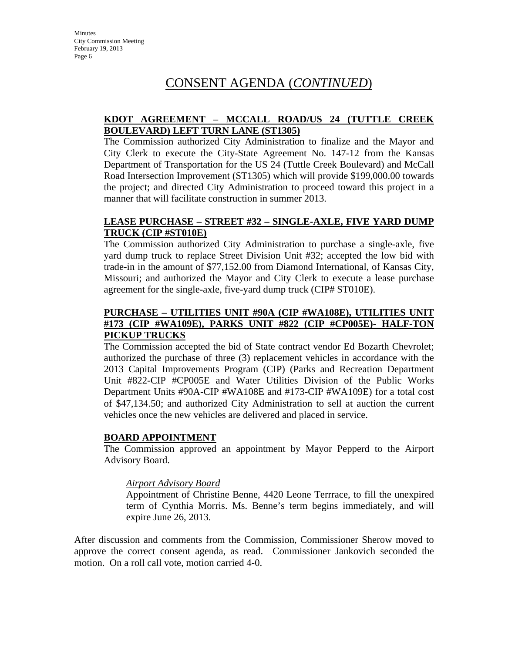# CONSENT AGENDA (*CONTINUED*)

### **KDOT AGREEMENT – MCCALL ROAD/US 24 (TUTTLE CREEK BOULEVARD) LEFT TURN LANE (ST1305)**

The Commission authorized City Administration to finalize and the Mayor and City Clerk to execute the City-State Agreement No. 147-12 from the Kansas Department of Transportation for the US 24 (Tuttle Creek Boulevard) and McCall Road Intersection Improvement (ST1305) which will provide \$199,000.00 towards the project; and directed City Administration to proceed toward this project in a manner that will facilitate construction in summer 2013.

### **LEASE PURCHASE – STREET #32 – SINGLE-AXLE, FIVE YARD DUMP TRUCK (CIP #ST010E)**

The Commission authorized City Administration to purchase a single-axle, five yard dump truck to replace Street Division Unit #32; accepted the low bid with trade-in in the amount of \$77,152.00 from Diamond International, of Kansas City, Missouri; and authorized the Mayor and City Clerk to execute a lease purchase agreement for the single-axle, five-yard dump truck (CIP# ST010E).

#### **PURCHASE – UTILITIES UNIT #90A (CIP #WA108E), UTILITIES UNIT #173 (CIP #WA109E), PARKS UNIT #822 (CIP #CP005E)- HALF-TON PICKUP TRUCKS**

The Commission accepted the bid of State contract vendor Ed Bozarth Chevrolet; authorized the purchase of three (3) replacement vehicles in accordance with the 2013 Capital Improvements Program (CIP) (Parks and Recreation Department Unit #822-CIP #CP005E and Water Utilities Division of the Public Works Department Units #90A-CIP #WA108E and #173-CIP #WA109E) for a total cost of \$47,134.50; and authorized City Administration to sell at auction the current vehicles once the new vehicles are delivered and placed in service.

#### **BOARD APPOINTMENT**

The Commission approved an appointment by Mayor Pepperd to the Airport Advisory Board.

#### *Airport Advisory Board*

Appointment of Christine Benne, 4420 Leone Terrrace, to fill the unexpired term of Cynthia Morris. Ms. Benne's term begins immediately, and will expire June 26, 2013.

After discussion and comments from the Commission, Commissioner Sherow moved to approve the correct consent agenda, as read. Commissioner Jankovich seconded the motion. On a roll call vote, motion carried 4-0.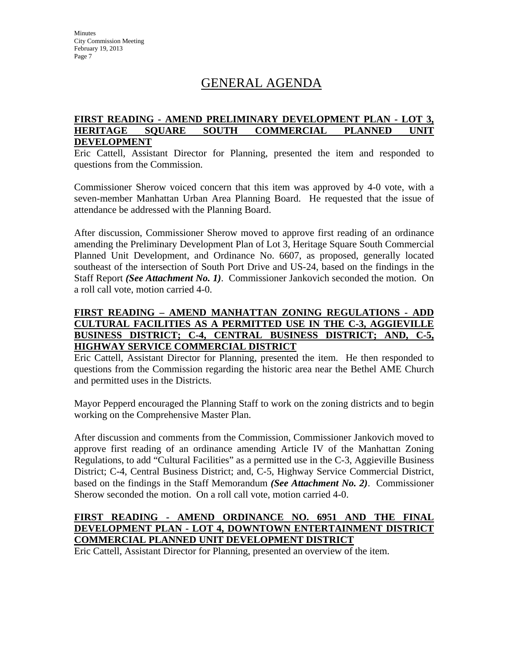# GENERAL AGENDA

#### **FIRST READING - AMEND PRELIMINARY DEVELOPMENT PLAN - LOT 3, HERITAGE SQUARE SOUTH COMMERCIAL PLANNED UNIT DEVELOPMENT**

Eric Cattell, Assistant Director for Planning, presented the item and responded to questions from the Commission.

Commissioner Sherow voiced concern that this item was approved by 4-0 vote, with a seven-member Manhattan Urban Area Planning Board. He requested that the issue of attendance be addressed with the Planning Board.

After discussion, Commissioner Sherow moved to approve first reading of an ordinance amending the Preliminary Development Plan of Lot 3, Heritage Square South Commercial Planned Unit Development, and Ordinance No. 6607, as proposed, generally located southeast of the intersection of South Port Drive and US-24, based on the findings in the Staff Report *(See Attachment No. 1)*. Commissioner Jankovich seconded the motion. On a roll call vote, motion carried 4-0.

#### **FIRST READING – AMEND MANHATTAN ZONING REGULATIONS - ADD CULTURAL FACILITIES AS A PERMITTED USE IN THE C-3, AGGIEVILLE BUSINESS DISTRICT; C-4, CENTRAL BUSINESS DISTRICT; AND, C-5, HIGHWAY SERVICE COMMERCIAL DISTRICT**

Eric Cattell, Assistant Director for Planning, presented the item. He then responded to questions from the Commission regarding the historic area near the Bethel AME Church and permitted uses in the Districts.

Mayor Pepperd encouraged the Planning Staff to work on the zoning districts and to begin working on the Comprehensive Master Plan.

After discussion and comments from the Commission, Commissioner Jankovich moved to approve first reading of an ordinance amending Article IV of the Manhattan Zoning Regulations, to add "Cultural Facilities" as a permitted use in the C-3, Aggieville Business District; C-4, Central Business District; and, C-5, Highway Service Commercial District, based on the findings in the Staff Memorandum *(See Attachment No. 2)*. Commissioner Sherow seconded the motion. On a roll call vote, motion carried 4-0.

## **FIRST READING - AMEND ORDINANCE NO. 6951 AND THE FINAL DEVELOPMENT PLAN - LOT 4, DOWNTOWN ENTERTAINMENT DISTRICT COMMERCIAL PLANNED UNIT DEVELOPMENT DISTRICT**

Eric Cattell, Assistant Director for Planning, presented an overview of the item.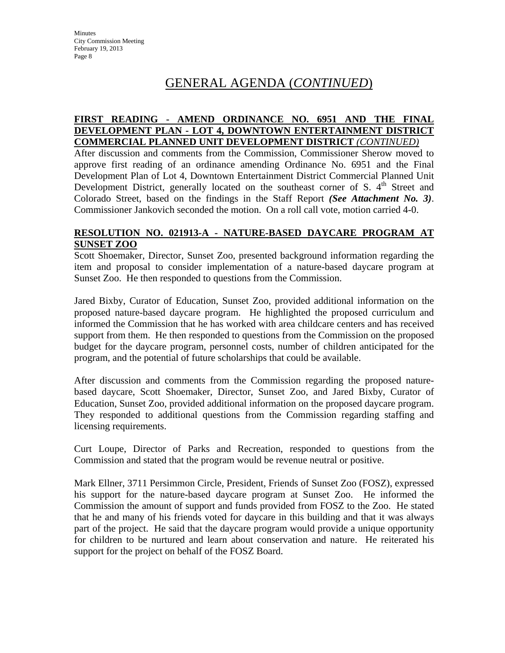# GENERAL AGENDA (*CONTINUED*)

#### **FIRST READING - AMEND ORDINANCE NO. 6951 AND THE FINAL DEVELOPMENT PLAN - LOT 4, DOWNTOWN ENTERTAINMENT DISTRICT COMMERCIAL PLANNED UNIT DEVELOPMENT DISTRICT** *(CONTINUED)*

After discussion and comments from the Commission, Commissioner Sherow moved to approve first reading of an ordinance amending Ordinance No. 6951 and the Final Development Plan of Lot 4, Downtown Entertainment District Commercial Planned Unit Development District, generally located on the southeast corner of S.  $4<sup>th</sup>$  Street and Colorado Street, based on the findings in the Staff Report *(See Attachment No. 3)*. Commissioner Jankovich seconded the motion. On a roll call vote, motion carried 4-0.

### **RESOLUTION NO. 021913-A - NATURE-BASED DAYCARE PROGRAM AT SUNSET ZOO**

Scott Shoemaker, Director, Sunset Zoo, presented background information regarding the item and proposal to consider implementation of a nature-based daycare program at Sunset Zoo. He then responded to questions from the Commission.

Jared Bixby, Curator of Education, Sunset Zoo, provided additional information on the proposed nature-based daycare program. He highlighted the proposed curriculum and informed the Commission that he has worked with area childcare centers and has received support from them. He then responded to questions from the Commission on the proposed budget for the daycare program, personnel costs, number of children anticipated for the program, and the potential of future scholarships that could be available.

After discussion and comments from the Commission regarding the proposed naturebased daycare, Scott Shoemaker, Director, Sunset Zoo, and Jared Bixby, Curator of Education, Sunset Zoo, provided additional information on the proposed daycare program. They responded to additional questions from the Commission regarding staffing and licensing requirements.

Curt Loupe, Director of Parks and Recreation, responded to questions from the Commission and stated that the program would be revenue neutral or positive.

Mark Ellner, 3711 Persimmon Circle, President, Friends of Sunset Zoo (FOSZ), expressed his support for the nature-based daycare program at Sunset Zoo. He informed the Commission the amount of support and funds provided from FOSZ to the Zoo. He stated that he and many of his friends voted for daycare in this building and that it was always part of the project. He said that the daycare program would provide a unique opportunity for children to be nurtured and learn about conservation and nature. He reiterated his support for the project on behalf of the FOSZ Board.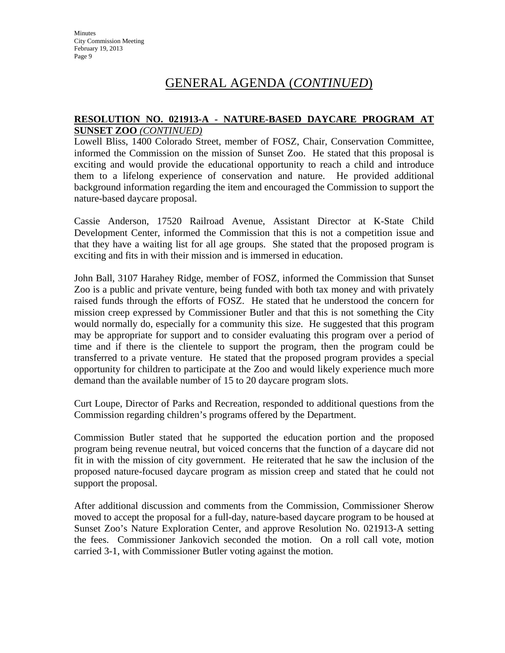# GENERAL AGENDA (*CONTINUED*)

#### **RESOLUTION NO. 021913-A - NATURE-BASED DAYCARE PROGRAM AT SUNSET ZOO** *(CONTINUED)*

Lowell Bliss, 1400 Colorado Street, member of FOSZ, Chair, Conservation Committee, informed the Commission on the mission of Sunset Zoo. He stated that this proposal is exciting and would provide the educational opportunity to reach a child and introduce them to a lifelong experience of conservation and nature. He provided additional background information regarding the item and encouraged the Commission to support the nature-based daycare proposal.

Cassie Anderson, 17520 Railroad Avenue, Assistant Director at K-State Child Development Center, informed the Commission that this is not a competition issue and that they have a waiting list for all age groups. She stated that the proposed program is exciting and fits in with their mission and is immersed in education.

John Ball, 3107 Harahey Ridge, member of FOSZ, informed the Commission that Sunset Zoo is a public and private venture, being funded with both tax money and with privately raised funds through the efforts of FOSZ. He stated that he understood the concern for mission creep expressed by Commissioner Butler and that this is not something the City would normally do, especially for a community this size. He suggested that this program may be appropriate for support and to consider evaluating this program over a period of time and if there is the clientele to support the program, then the program could be transferred to a private venture. He stated that the proposed program provides a special opportunity for children to participate at the Zoo and would likely experience much more demand than the available number of 15 to 20 daycare program slots.

Curt Loupe, Director of Parks and Recreation, responded to additional questions from the Commission regarding children's programs offered by the Department.

Commission Butler stated that he supported the education portion and the proposed program being revenue neutral, but voiced concerns that the function of a daycare did not fit in with the mission of city government. He reiterated that he saw the inclusion of the proposed nature-focused daycare program as mission creep and stated that he could not support the proposal.

After additional discussion and comments from the Commission, Commissioner Sherow moved to accept the proposal for a full-day, nature-based daycare program to be housed at Sunset Zoo's Nature Exploration Center, and approve Resolution No. 021913-A setting the fees. Commissioner Jankovich seconded the motion. On a roll call vote, motion carried 3-1, with Commissioner Butler voting against the motion.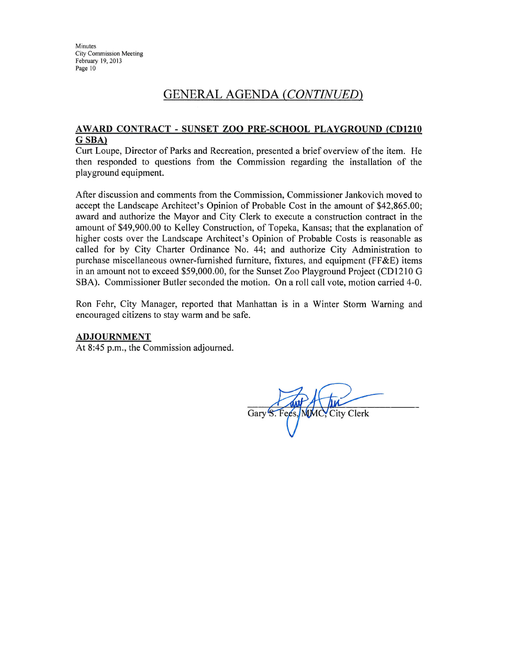# **GENERAL AGENDA (CONTINUED)**

#### AWARD CONTRACT - SUNSET ZOO PRE-SCHOOL PLAYGROUND (CD1210 G SBA)

Curt Loupe, Director of Parks and Recreation, presented a brief overview of the item. He then responded to questions from the Commission regarding the installation of the playground equipment.

After discussion and comments from the Commission, Commissioner Jankovich moved to accept the Landscape Architect's Opinion of Probable Cost in the amount of \$42,865.00; award and authorize the Mayor and City Clerk to execute a construction contract in the amount of \$49,900.00 to Kelley Construction, of Topeka, Kansas; that the explanation of higher costs over the Landscape Architect's Opinion of Probable Costs is reasonable as called for by City Charter Ordinance No. 44; and authorize City Administration to purchase miscellaneous owner-furnished furniture, fixtures, and equipment (FF&E) items in an amount not to exceed \$59,000.00, for the Sunset Zoo Playground Project (CD1210 G SBA). Commissioner Butler seconded the motion. On a roll call vote, motion carried 4-0.

Ron Fehr, City Manager, reported that Manhattan is in a Winter Storm Warning and encouraged citizens to stay warm and be safe.

#### **ADJOURNMENT**

At 8:45 p.m., the Commission adjourned.

Gary S. Fees MMC. City Clerk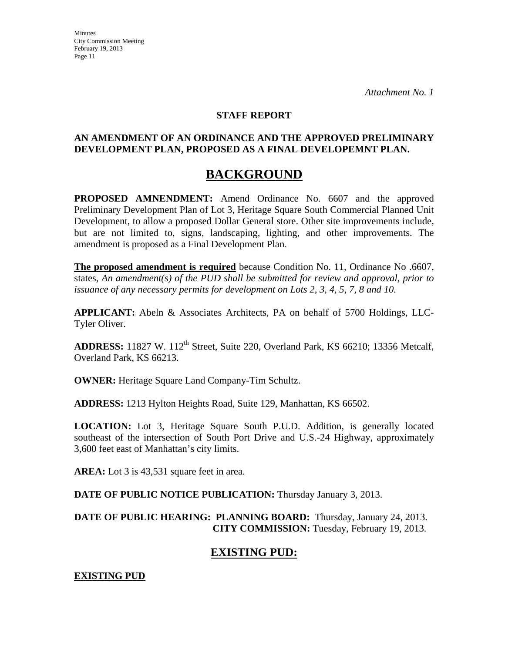#### **STAFF REPORT**

#### **AN AMENDMENT OF AN ORDINANCE AND THE APPROVED PRELIMINARY DEVELOPMENT PLAN, PROPOSED AS A FINAL DEVELOPEMNT PLAN.**

# **BACKGROUND**

**PROPOSED AMNENDMENT:** Amend Ordinance No. 6607 and the approved Preliminary Development Plan of Lot 3, Heritage Square South Commercial Planned Unit Development, to allow a proposed Dollar General store. Other site improvements include, but are not limited to, signs, landscaping, lighting, and other improvements. The amendment is proposed as a Final Development Plan.

**The proposed amendment is required** because Condition No. 11, Ordinance No .6607, states, *An amendment(s) of the PUD shall be submitted for review and approval, prior to issuance of any necessary permits for development on Lots 2, 3, 4, 5, 7, 8 and 10.*

**APPLICANT:** Abeln & Associates Architects, PA on behalf of 5700 Holdings, LLC-Tyler Oliver.

ADDRESS: 11827 W. 112<sup>th</sup> Street, Suite 220, Overland Park, KS 66210; 13356 Metcalf, Overland Park, KS 66213.

**OWNER:** Heritage Square Land Company-Tim Schultz.

**ADDRESS:** 1213 Hylton Heights Road, Suite 129, Manhattan, KS 66502.

**LOCATION:** Lot 3, Heritage Square South P.U.D. Addition, is generally located southeast of the intersection of South Port Drive and U.S.-24 Highway, approximately 3,600 feet east of Manhattan's city limits.

**AREA:** Lot 3 is 43,531 square feet in area.

**DATE OF PUBLIC NOTICE PUBLICATION:** Thursday January 3, 2013.

**DATE OF PUBLIC HEARING: PLANNING BOARD:** Thursday, January 24, 2013. **CITY COMMISSION:** Tuesday, February 19, 2013.

# **EXISTING PUD:**

**EXISTING PUD**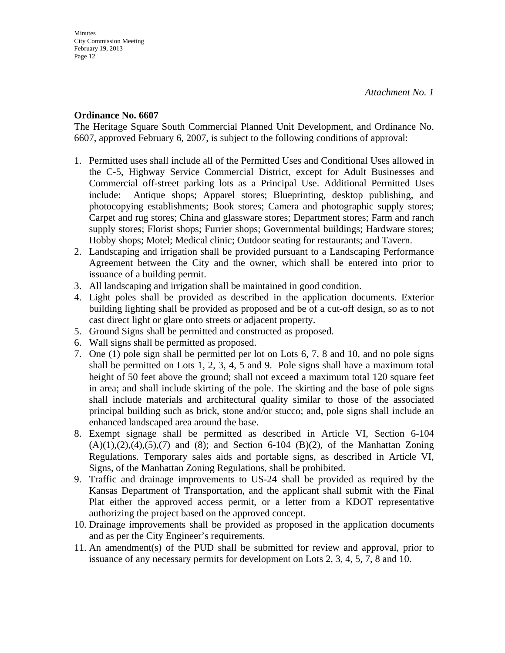#### **Ordinance No. 6607**

The Heritage Square South Commercial Planned Unit Development, and Ordinance No. 6607, approved February 6, 2007, is subject to the following conditions of approval:

- 1. Permitted uses shall include all of the Permitted Uses and Conditional Uses allowed in the C-5, Highway Service Commercial District, except for Adult Businesses and Commercial off-street parking lots as a Principal Use. Additional Permitted Uses include: Antique shops; Apparel stores; Blueprinting, desktop publishing, and photocopying establishments; Book stores; Camera and photographic supply stores; Carpet and rug stores; China and glassware stores; Department stores; Farm and ranch supply stores; Florist shops; Furrier shops; Governmental buildings; Hardware stores; Hobby shops; Motel; Medical clinic; Outdoor seating for restaurants; and Tavern.
- 2. Landscaping and irrigation shall be provided pursuant to a Landscaping Performance Agreement between the City and the owner, which shall be entered into prior to issuance of a building permit.
- 3. All landscaping and irrigation shall be maintained in good condition.
- 4. Light poles shall be provided as described in the application documents. Exterior building lighting shall be provided as proposed and be of a cut-off design, so as to not cast direct light or glare onto streets or adjacent property.
- 5. Ground Signs shall be permitted and constructed as proposed.
- 6. Wall signs shall be permitted as proposed.
- 7. One (1) pole sign shall be permitted per lot on Lots 6, 7, 8 and 10, and no pole signs shall be permitted on Lots 1, 2, 3, 4, 5 and 9. Pole signs shall have a maximum total height of 50 feet above the ground; shall not exceed a maximum total 120 square feet in area; and shall include skirting of the pole. The skirting and the base of pole signs shall include materials and architectural quality similar to those of the associated principal building such as brick, stone and/or stucco; and, pole signs shall include an enhanced landscaped area around the base.
- 8. Exempt signage shall be permitted as described in Article VI, Section 6-104  $(A)(1),(2),(4),(5),(7)$  and  $(8)$ ; and Section 6-104  $(B)(2)$ , of the Manhattan Zoning Regulations. Temporary sales aids and portable signs, as described in Article VI, Signs, of the Manhattan Zoning Regulations, shall be prohibited.
- 9. Traffic and drainage improvements to US-24 shall be provided as required by the Kansas Department of Transportation, and the applicant shall submit with the Final Plat either the approved access permit, or a letter from a KDOT representative authorizing the project based on the approved concept.
- 10. Drainage improvements shall be provided as proposed in the application documents and as per the City Engineer's requirements.
- 11. An amendment(s) of the PUD shall be submitted for review and approval, prior to issuance of any necessary permits for development on Lots 2, 3, 4, 5, 7, 8 and 10.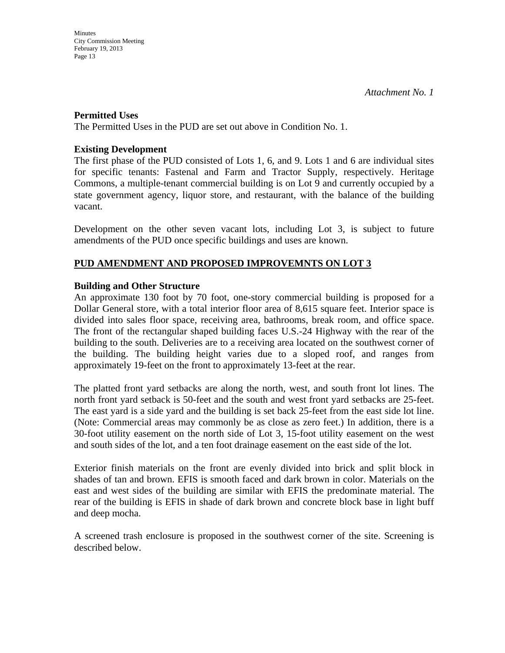#### **Permitted Uses**

The Permitted Uses in the PUD are set out above in Condition No. 1.

#### **Existing Development**

The first phase of the PUD consisted of Lots 1, 6, and 9. Lots 1 and 6 are individual sites for specific tenants: Fastenal and Farm and Tractor Supply, respectively. Heritage Commons, a multiple-tenant commercial building is on Lot 9 and currently occupied by a state government agency, liquor store, and restaurant, with the balance of the building vacant.

Development on the other seven vacant lots, including Lot 3, is subject to future amendments of the PUD once specific buildings and uses are known.

### **PUD AMENDMENT AND PROPOSED IMPROVEMNTS ON LOT 3**

#### **Building and Other Structure**

An approximate 130 foot by 70 foot, one-story commercial building is proposed for a Dollar General store, with a total interior floor area of 8,615 square feet. Interior space is divided into sales floor space, receiving area, bathrooms, break room, and office space. The front of the rectangular shaped building faces U.S.-24 Highway with the rear of the building to the south. Deliveries are to a receiving area located on the southwest corner of the building. The building height varies due to a sloped roof, and ranges from approximately 19-feet on the front to approximately 13-feet at the rear.

The platted front yard setbacks are along the north, west, and south front lot lines. The north front yard setback is 50-feet and the south and west front yard setbacks are 25-feet. The east yard is a side yard and the building is set back 25-feet from the east side lot line. (Note: Commercial areas may commonly be as close as zero feet.) In addition, there is a 30-foot utility easement on the north side of Lot 3, 15-foot utility easement on the west and south sides of the lot, and a ten foot drainage easement on the east side of the lot.

Exterior finish materials on the front are evenly divided into brick and split block in shades of tan and brown. EFIS is smooth faced and dark brown in color. Materials on the east and west sides of the building are similar with EFIS the predominate material. The rear of the building is EFIS in shade of dark brown and concrete block base in light buff and deep mocha.

A screened trash enclosure is proposed in the southwest corner of the site. Screening is described below.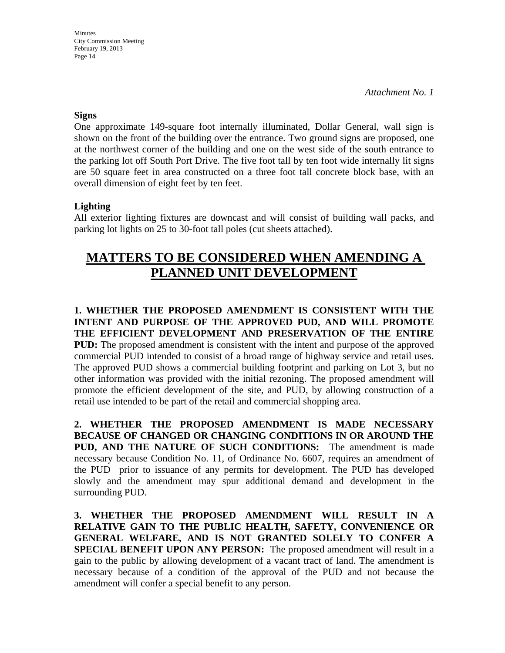*Attachment No. 1* 

#### **Signs**

One approximate 149-square foot internally illuminated, Dollar General, wall sign is shown on the front of the building over the entrance. Two ground signs are proposed, one at the northwest corner of the building and one on the west side of the south entrance to the parking lot off South Port Drive. The five foot tall by ten foot wide internally lit signs are 50 square feet in area constructed on a three foot tall concrete block base, with an overall dimension of eight feet by ten feet.

### **Lighting**

All exterior lighting fixtures are downcast and will consist of building wall packs, and parking lot lights on 25 to 30-foot tall poles (cut sheets attached).

# **MATTERS TO BE CONSIDERED WHEN AMENDING A PLANNED UNIT DEVELOPMENT**

**1. WHETHER THE PROPOSED AMENDMENT IS CONSISTENT WITH THE INTENT AND PURPOSE OF THE APPROVED PUD, AND WILL PROMOTE THE EFFICIENT DEVELOPMENT AND PRESERVATION OF THE ENTIRE PUD:** The proposed amendment is consistent with the intent and purpose of the approved commercial PUD intended to consist of a broad range of highway service and retail uses. The approved PUD shows a commercial building footprint and parking on Lot 3, but no other information was provided with the initial rezoning. The proposed amendment will promote the efficient development of the site, and PUD, by allowing construction of a retail use intended to be part of the retail and commercial shopping area.

**2. WHETHER THE PROPOSED AMENDMENT IS MADE NECESSARY BECAUSE OF CHANGED OR CHANGING CONDITIONS IN OR AROUND THE PUD, AND THE NATURE OF SUCH CONDITIONS:** The amendment is made necessary because Condition No. 11, of Ordinance No. 6607, requires an amendment of the PUD prior to issuance of any permits for development. The PUD has developed slowly and the amendment may spur additional demand and development in the surrounding PUD.

**3. WHETHER THE PROPOSED AMENDMENT WILL RESULT IN A RELATIVE GAIN TO THE PUBLIC HEALTH, SAFETY, CONVENIENCE OR GENERAL WELFARE, AND IS NOT GRANTED SOLELY TO CONFER A SPECIAL BENEFIT UPON ANY PERSON:** The proposed amendment will result in a gain to the public by allowing development of a vacant tract of land. The amendment is necessary because of a condition of the approval of the PUD and not because the amendment will confer a special benefit to any person.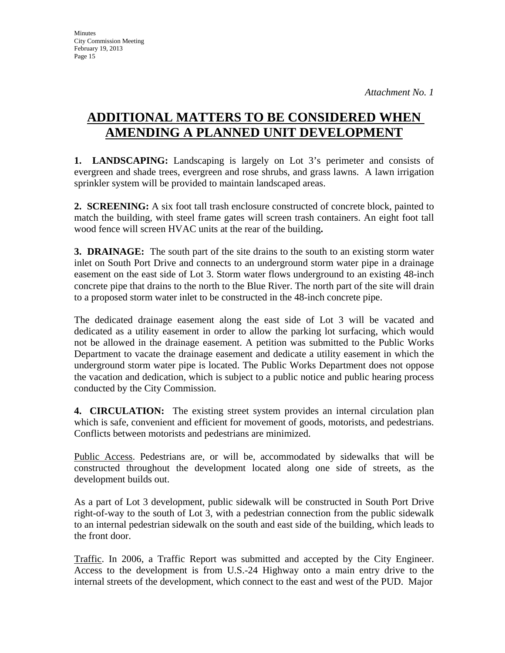# **ADDITIONAL MATTERS TO BE CONSIDERED WHEN AMENDING A PLANNED UNIT DEVELOPMENT**

**1. LANDSCAPING:** Landscaping is largely on Lot 3's perimeter and consists of evergreen and shade trees, evergreen and rose shrubs, and grass lawns. A lawn irrigation sprinkler system will be provided to maintain landscaped areas.

**2. SCREENING:** A six foot tall trash enclosure constructed of concrete block, painted to match the building, with steel frame gates will screen trash containers. An eight foot tall wood fence will screen HVAC units at the rear of the building**.**

**3. DRAINAGE:** The south part of the site drains to the south to an existing storm water inlet on South Port Drive and connects to an underground storm water pipe in a drainage easement on the east side of Lot 3. Storm water flows underground to an existing 48-inch concrete pipe that drains to the north to the Blue River. The north part of the site will drain to a proposed storm water inlet to be constructed in the 48-inch concrete pipe.

The dedicated drainage easement along the east side of Lot 3 will be vacated and dedicated as a utility easement in order to allow the parking lot surfacing, which would not be allowed in the drainage easement. A petition was submitted to the Public Works Department to vacate the drainage easement and dedicate a utility easement in which the underground storm water pipe is located. The Public Works Department does not oppose the vacation and dedication, which is subject to a public notice and public hearing process conducted by the City Commission.

**4. CIRCULATION:** The existing street system provides an internal circulation plan which is safe, convenient and efficient for movement of goods, motorists, and pedestrians. Conflicts between motorists and pedestrians are minimized.

Public Access. Pedestrians are, or will be, accommodated by sidewalks that will be constructed throughout the development located along one side of streets, as the development builds out.

As a part of Lot 3 development, public sidewalk will be constructed in South Port Drive right-of-way to the south of Lot 3, with a pedestrian connection from the public sidewalk to an internal pedestrian sidewalk on the south and east side of the building, which leads to the front door.

Traffic. In 2006, a Traffic Report was submitted and accepted by the City Engineer. Access to the development is from U.S.-24 Highway onto a main entry drive to the internal streets of the development, which connect to the east and west of the PUD. Major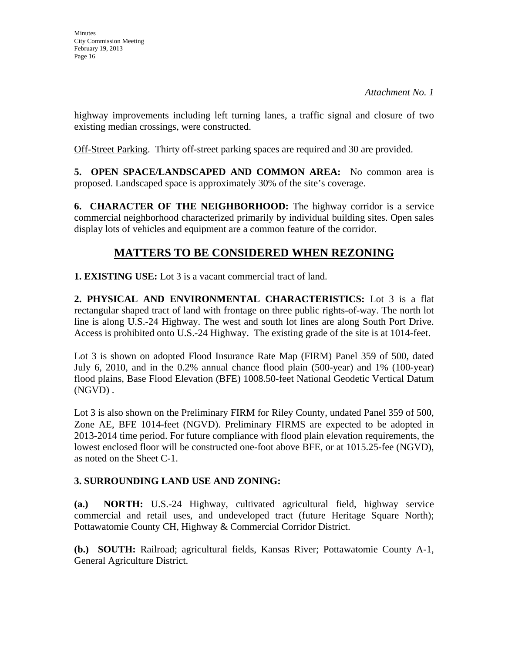highway improvements including left turning lanes, a traffic signal and closure of two existing median crossings, were constructed.

Off-Street Parking. Thirty off-street parking spaces are required and 30 are provided.

**5. OPEN SPACE/LANDSCAPED AND COMMON AREA:** No common area is proposed. Landscaped space is approximately 30% of the site's coverage.

**6. CHARACTER OF THE NEIGHBORHOOD:** The highway corridor is a service commercial neighborhood characterized primarily by individual building sites. Open sales display lots of vehicles and equipment are a common feature of the corridor.

# **MATTERS TO BE CONSIDERED WHEN REZONING**

**1. EXISTING USE:** Lot 3 is a vacant commercial tract of land.

**2. PHYSICAL AND ENVIRONMENTAL CHARACTERISTICS:** Lot 3 is a flat rectangular shaped tract of land with frontage on three public rights-of-way. The north lot line is along U.S.-24 Highway. The west and south lot lines are along South Port Drive. Access is prohibited onto U.S.-24 Highway. The existing grade of the site is at 1014-feet.

Lot 3 is shown on adopted Flood Insurance Rate Map (FIRM) Panel 359 of 500, dated July 6, 2010, and in the 0.2% annual chance flood plain (500-year) and 1% (100-year) flood plains, Base Flood Elevation (BFE) 1008.50-feet National Geodetic Vertical Datum (NGVD) .

Lot 3 is also shown on the Preliminary FIRM for Riley County, undated Panel 359 of 500, Zone AE, BFE 1014-feet (NGVD). Preliminary FIRMS are expected to be adopted in 2013-2014 time period. For future compliance with flood plain elevation requirements, the lowest enclosed floor will be constructed one-foot above BFE, or at 1015.25-fee (NGVD), as noted on the Sheet C-1.

## **3. SURROUNDING LAND USE AND ZONING:**

**(a.) NORTH:** U.S.-24 Highway, cultivated agricultural field, highway service commercial and retail uses, and undeveloped tract (future Heritage Square North); Pottawatomie County CH, Highway & Commercial Corridor District.

**(b.) SOUTH:** Railroad; agricultural fields, Kansas River; Pottawatomie County A-1, General Agriculture District.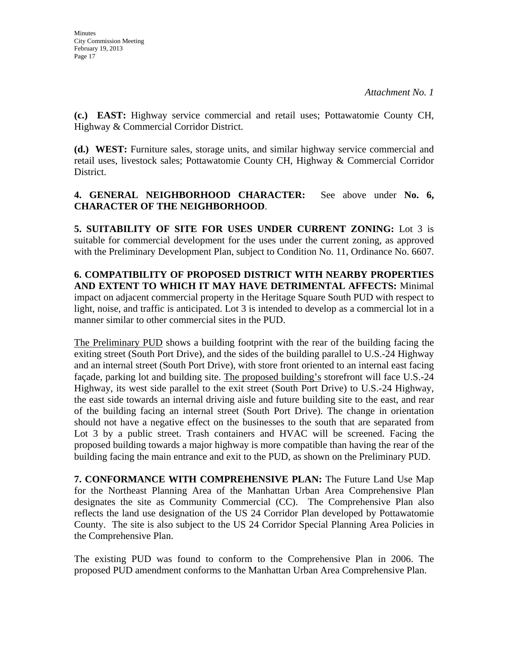**(c.) EAST:** Highway service commercial and retail uses; Pottawatomie County CH, Highway & Commercial Corridor District.

**(d.) WEST:** Furniture sales, storage units, and similar highway service commercial and retail uses, livestock sales; Pottawatomie County CH, Highway & Commercial Corridor District.

## **4. GENERAL NEIGHBORHOOD CHARACTER:** See above under **No. 6, CHARACTER OF THE NEIGHBORHOOD**.

**5. SUITABILITY OF SITE FOR USES UNDER CURRENT ZONING:** Lot 3 is suitable for commercial development for the uses under the current zoning, as approved with the Preliminary Development Plan, subject to Condition No. 11, Ordinance No. 6607.

**6. COMPATIBILITY OF PROPOSED DISTRICT WITH NEARBY PROPERTIES AND EXTENT TO WHICH IT MAY HAVE DETRIMENTAL AFFECTS:** Minimal impact on adjacent commercial property in the Heritage Square South PUD with respect to light, noise, and traffic is anticipated. Lot 3 is intended to develop as a commercial lot in a manner similar to other commercial sites in the PUD.

The Preliminary PUD shows a building footprint with the rear of the building facing the exiting street (South Port Drive), and the sides of the building parallel to U.S.-24 Highway and an internal street (South Port Drive), with store front oriented to an internal east facing façade, parking lot and building site. The proposed building's storefront will face U.S.-24 Highway, its west side parallel to the exit street (South Port Drive) to U.S.-24 Highway, the east side towards an internal driving aisle and future building site to the east, and rear of the building facing an internal street (South Port Drive). The change in orientation should not have a negative effect on the businesses to the south that are separated from Lot 3 by a public street. Trash containers and HVAC will be screened. Facing the proposed building towards a major highway is more compatible than having the rear of the building facing the main entrance and exit to the PUD, as shown on the Preliminary PUD.

**7. CONFORMANCE WITH COMPREHENSIVE PLAN:** The Future Land Use Map for the Northeast Planning Area of the Manhattan Urban Area Comprehensive Plan designates the site as Community Commercial (CC). The Comprehensive Plan also reflects the land use designation of the US 24 Corridor Plan developed by Pottawatomie County. The site is also subject to the US 24 Corridor Special Planning Area Policies in the Comprehensive Plan.

The existing PUD was found to conform to the Comprehensive Plan in 2006. The proposed PUD amendment conforms to the Manhattan Urban Area Comprehensive Plan.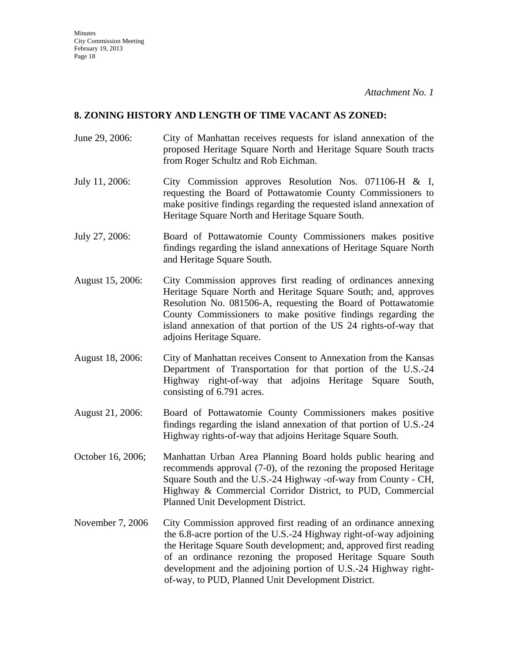#### **8. ZONING HISTORY AND LENGTH OF TIME VACANT AS ZONED:**

- June 29, 2006: City of Manhattan receives requests for island annexation of the proposed Heritage Square North and Heritage Square South tracts from Roger Schultz and Rob Eichman.
- July 11, 2006: City Commission approves Resolution Nos. 071106-H & I, requesting the Board of Pottawatomie County Commissioners to make positive findings regarding the requested island annexation of Heritage Square North and Heritage Square South.
- July 27, 2006: Board of Pottawatomie County Commissioners makes positive findings regarding the island annexations of Heritage Square North and Heritage Square South.
- August 15, 2006: City Commission approves first reading of ordinances annexing Heritage Square North and Heritage Square South; and, approves Resolution No. 081506-A, requesting the Board of Pottawatomie County Commissioners to make positive findings regarding the island annexation of that portion of the US 24 rights-of-way that adjoins Heritage Square.
- August 18, 2006: City of Manhattan receives Consent to Annexation from the Kansas Department of Transportation for that portion of the U.S.-24 Highway right-of-way that adjoins Heritage Square South, consisting of 6.791 acres.
- August 21, 2006: Board of Pottawatomie County Commissioners makes positive findings regarding the island annexation of that portion of U.S.-24 Highway rights-of-way that adjoins Heritage Square South.
- October 16, 2006; Manhattan Urban Area Planning Board holds public hearing and recommends approval (7-0), of the rezoning the proposed Heritage Square South and the U.S.-24 Highway -of-way from County - CH, Highway & Commercial Corridor District, to PUD, Commercial Planned Unit Development District.
- November 7, 2006 City Commission approved first reading of an ordinance annexing the 6.8-acre portion of the U.S.-24 Highway right-of-way adjoining the Heritage Square South development; and, approved first reading of an ordinance rezoning the proposed Heritage Square South development and the adjoining portion of U.S.-24 Highway rightof-way, to PUD, Planned Unit Development District.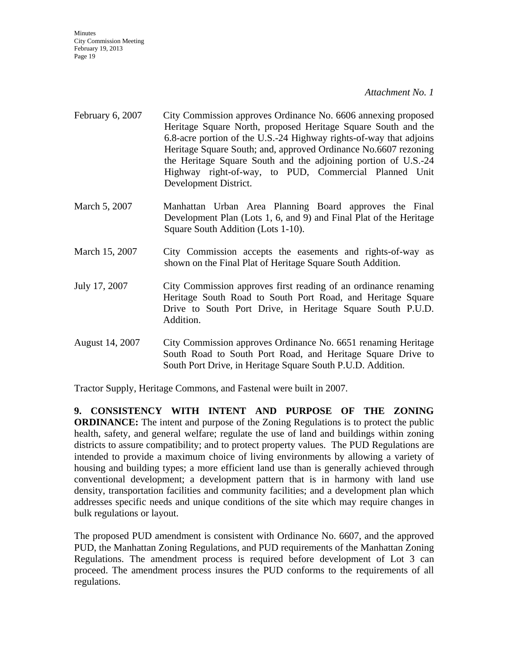#### *Attachment No. 1*

- February 6, 2007 City Commission approves Ordinance No. 6606 annexing proposed Heritage Square North, proposed Heritage Square South and the 6.8-acre portion of the U.S.-24 Highway rights-of-way that adjoins Heritage Square South; and, approved Ordinance No.6607 rezoning the Heritage Square South and the adjoining portion of U.S.-24 Highway right-of-way, to PUD, Commercial Planned Unit Development District.
- March 5, 2007 Manhattan Urban Area Planning Board approves the Final Development Plan (Lots 1, 6, and 9) and Final Plat of the Heritage Square South Addition (Lots 1-10).
- March 15, 2007 City Commission accepts the easements and rights-of-way as shown on the Final Plat of Heritage Square South Addition.
- July 17, 2007 City Commission approves first reading of an ordinance renaming Heritage South Road to South Port Road, and Heritage Square Drive to South Port Drive, in Heritage Square South P.U.D. Addition.
- August 14, 2007 City Commission approves Ordinance No. 6651 renaming Heritage South Road to South Port Road, and Heritage Square Drive to South Port Drive, in Heritage Square South P.U.D. Addition.

Tractor Supply, Heritage Commons, and Fastenal were built in 2007.

**9. CONSISTENCY WITH INTENT AND PURPOSE OF THE ZONING ORDINANCE:** The intent and purpose of the Zoning Regulations is to protect the public health, safety, and general welfare; regulate the use of land and buildings within zoning districts to assure compatibility; and to protect property values. The PUD Regulations are intended to provide a maximum choice of living environments by allowing a variety of housing and building types; a more efficient land use than is generally achieved through conventional development; a development pattern that is in harmony with land use density, transportation facilities and community facilities; and a development plan which addresses specific needs and unique conditions of the site which may require changes in bulk regulations or layout.

The proposed PUD amendment is consistent with Ordinance No. 6607, and the approved PUD, the Manhattan Zoning Regulations, and PUD requirements of the Manhattan Zoning Regulations. The amendment process is required before development of Lot 3 can proceed. The amendment process insures the PUD conforms to the requirements of all regulations.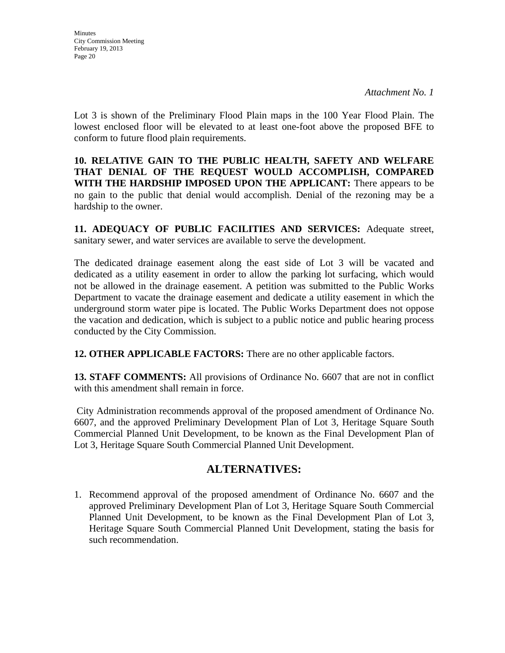Lot 3 is shown of the Preliminary Flood Plain maps in the 100 Year Flood Plain. The lowest enclosed floor will be elevated to at least one-foot above the proposed BFE to conform to future flood plain requirements.

**10. RELATIVE GAIN TO THE PUBLIC HEALTH, SAFETY AND WELFARE THAT DENIAL OF THE REQUEST WOULD ACCOMPLISH, COMPARED WITH THE HARDSHIP IMPOSED UPON THE APPLICANT:** There appears to be no gain to the public that denial would accomplish. Denial of the rezoning may be a hardship to the owner.

**11. ADEQUACY OF PUBLIC FACILITIES AND SERVICES:** Adequate street, sanitary sewer, and water services are available to serve the development.

The dedicated drainage easement along the east side of Lot 3 will be vacated and dedicated as a utility easement in order to allow the parking lot surfacing, which would not be allowed in the drainage easement. A petition was submitted to the Public Works Department to vacate the drainage easement and dedicate a utility easement in which the underground storm water pipe is located. The Public Works Department does not oppose the vacation and dedication, which is subject to a public notice and public hearing process conducted by the City Commission.

**12. OTHER APPLICABLE FACTORS:** There are no other applicable factors.

**13. STAFF COMMENTS:** All provisions of Ordinance No. 6607 that are not in conflict with this amendment shall remain in force.

City Administration recommends approval of the proposed amendment of Ordinance No. 6607, and the approved Preliminary Development Plan of Lot 3, Heritage Square South Commercial Planned Unit Development, to be known as the Final Development Plan of Lot 3, Heritage Square South Commercial Planned Unit Development.

# **ALTERNATIVES:**

1. Recommend approval of the proposed amendment of Ordinance No. 6607 and the approved Preliminary Development Plan of Lot 3, Heritage Square South Commercial Planned Unit Development, to be known as the Final Development Plan of Lot 3, Heritage Square South Commercial Planned Unit Development, stating the basis for such recommendation.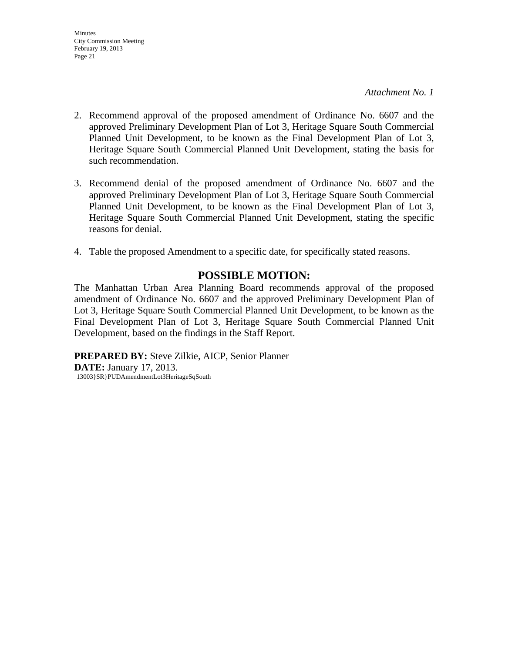- 2. Recommend approval of the proposed amendment of Ordinance No. 6607 and the approved Preliminary Development Plan of Lot 3, Heritage Square South Commercial Planned Unit Development, to be known as the Final Development Plan of Lot 3, Heritage Square South Commercial Planned Unit Development, stating the basis for such recommendation.
- 3. Recommend denial of the proposed amendment of Ordinance No. 6607 and the approved Preliminary Development Plan of Lot 3, Heritage Square South Commercial Planned Unit Development, to be known as the Final Development Plan of Lot 3, Heritage Square South Commercial Planned Unit Development, stating the specific reasons for denial.
- 4. Table the proposed Amendment to a specific date, for specifically stated reasons.

# **POSSIBLE MOTION:**

The Manhattan Urban Area Planning Board recommends approval of the proposed amendment of Ordinance No. 6607 and the approved Preliminary Development Plan of Lot 3, Heritage Square South Commercial Planned Unit Development, to be known as the Final Development Plan of Lot 3, Heritage Square South Commercial Planned Unit Development, based on the findings in the Staff Report.

**PREPARED BY:** Steve Zilkie, AICP, Senior Planner **DATE:** January 17, 2013. 13003}SR}PUDAmendmentLot3HeritageSqSouth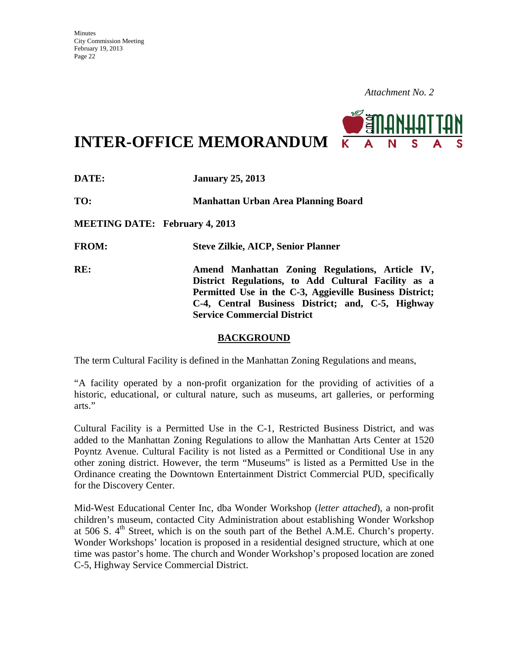

**INTER-OFFICE MEMORANDUM**

**DATE: January 25, 2013 TO: Manhattan Urban Area Planning Board MEETING DATE: February 4, 2013 FROM: Steve Zilkie, AICP, Senior Planner RE: Amend Manhattan Zoning Regulations, Article IV, District Regulations, to Add Cultural Facility as a Permitted Use in the C-3, Aggieville Business District; C-4, Central Business District; and, C-5, Highway Service Commercial District** 

#### **BACKGROUND**

The term Cultural Facility is defined in the Manhattan Zoning Regulations and means,

"A facility operated by a non-profit organization for the providing of activities of a historic, educational, or cultural nature, such as museums, art galleries, or performing arts."

Cultural Facility is a Permitted Use in the C-1, Restricted Business District, and was added to the Manhattan Zoning Regulations to allow the Manhattan Arts Center at 1520 Poyntz Avenue. Cultural Facility is not listed as a Permitted or Conditional Use in any other zoning district. However, the term "Museums" is listed as a Permitted Use in the Ordinance creating the Downtown Entertainment District Commercial PUD, specifically for the Discovery Center.

Mid-West Educational Center Inc, dba Wonder Workshop (*letter attached*), a non-profit children's museum, contacted City Administration about establishing Wonder Workshop at 506 S.  $4<sup>th</sup>$  Street, which is on the south part of the Bethel A.M.E. Church's property. Wonder Workshops' location is proposed in a residential designed structure, which at one time was pastor's home. The church and Wonder Workshop's proposed location are zoned C-5, Highway Service Commercial District.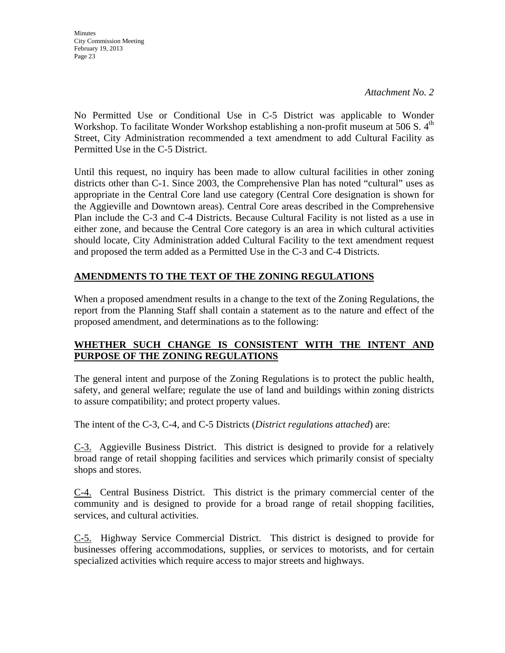No Permitted Use or Conditional Use in C-5 District was applicable to Wonder Workshop. To facilitate Wonder Workshop establishing a non-profit museum at 506 S.  $4<sup>th</sup>$ Street, City Administration recommended a text amendment to add Cultural Facility as Permitted Use in the C-5 District.

Until this request, no inquiry has been made to allow cultural facilities in other zoning districts other than C-1. Since 2003, the Comprehensive Plan has noted "cultural" uses as appropriate in the Central Core land use category (Central Core designation is shown for the Aggieville and Downtown areas). Central Core areas described in the Comprehensive Plan include the C-3 and C-4 Districts. Because Cultural Facility is not listed as a use in either zone, and because the Central Core category is an area in which cultural activities should locate, City Administration added Cultural Facility to the text amendment request and proposed the term added as a Permitted Use in the C-3 and C-4 Districts.

# **AMENDMENTS TO THE TEXT OF THE ZONING REGULATIONS**

When a proposed amendment results in a change to the text of the Zoning Regulations, the report from the Planning Staff shall contain a statement as to the nature and effect of the proposed amendment, and determinations as to the following:

## **WHETHER SUCH CHANGE IS CONSISTENT WITH THE INTENT AND PURPOSE OF THE ZONING REGULATIONS**

The general intent and purpose of the Zoning Regulations is to protect the public health, safety, and general welfare; regulate the use of land and buildings within zoning districts to assure compatibility; and protect property values.

The intent of the C-3, C-4, and C-5 Districts (*District regulations attached*) are:

C-3. Aggieville Business District. This district is designed to provide for a relatively broad range of retail shopping facilities and services which primarily consist of specialty shops and stores.

C-4. Central Business District. This district is the primary commercial center of the community and is designed to provide for a broad range of retail shopping facilities, services, and cultural activities.

C-5. Highway Service Commercial District. This district is designed to provide for businesses offering accommodations, supplies, or services to motorists, and for certain specialized activities which require access to major streets and highways.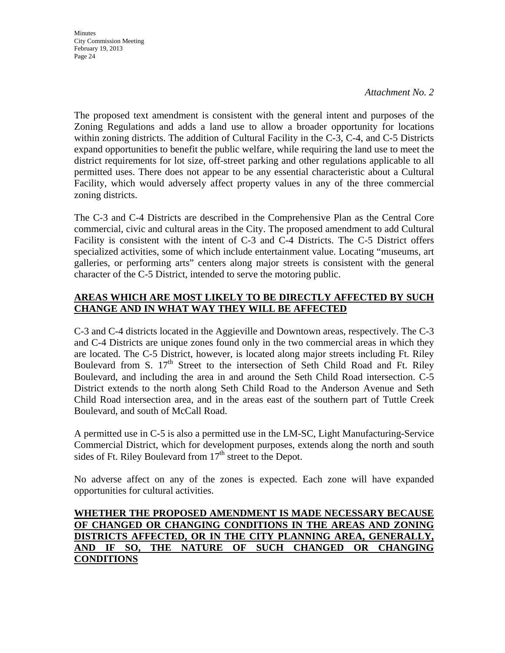#### *Attachment No. 2*

The proposed text amendment is consistent with the general intent and purposes of the Zoning Regulations and adds a land use to allow a broader opportunity for locations within zoning districts. The addition of Cultural Facility in the C-3, C-4, and C-5 Districts expand opportunities to benefit the public welfare, while requiring the land use to meet the district requirements for lot size, off-street parking and other regulations applicable to all permitted uses. There does not appear to be any essential characteristic about a Cultural Facility, which would adversely affect property values in any of the three commercial zoning districts.

The C-3 and C-4 Districts are described in the Comprehensive Plan as the Central Core commercial, civic and cultural areas in the City. The proposed amendment to add Cultural Facility is consistent with the intent of C-3 and C-4 Districts. The C-5 District offers specialized activities, some of which include entertainment value. Locating "museums, art galleries, or performing arts" centers along major streets is consistent with the general character of the C-5 District, intended to serve the motoring public.

### **AREAS WHICH ARE MOST LIKELY TO BE DIRECTLY AFFECTED BY SUCH CHANGE AND IN WHAT WAY THEY WILL BE AFFECTED**

C-3 and C-4 districts located in the Aggieville and Downtown areas, respectively. The C-3 and C-4 Districts are unique zones found only in the two commercial areas in which they are located. The C-5 District, however, is located along major streets including Ft. Riley Boulevard from S.  $17<sup>th</sup>$  Street to the intersection of Seth Child Road and Ft. Riley Boulevard, and including the area in and around the Seth Child Road intersection. C-5 District extends to the north along Seth Child Road to the Anderson Avenue and Seth Child Road intersection area, and in the areas east of the southern part of Tuttle Creek Boulevard, and south of McCall Road.

A permitted use in C-5 is also a permitted use in the LM-SC, Light Manufacturing-Service Commercial District, which for development purposes, extends along the north and south sides of Ft. Riley Boulevard from  $17<sup>th</sup>$  street to the Depot.

No adverse affect on any of the zones is expected. Each zone will have expanded opportunities for cultural activities.

#### **WHETHER THE PROPOSED AMENDMENT IS MADE NECESSARY BECAUSE OF CHANGED OR CHANGING CONDITIONS IN THE AREAS AND ZONING DISTRICTS AFFECTED, OR IN THE CITY PLANNING AREA, GENERALLY, AND IF SO, THE NATURE OF SUCH CHANGED OR CHANGING CONDITIONS**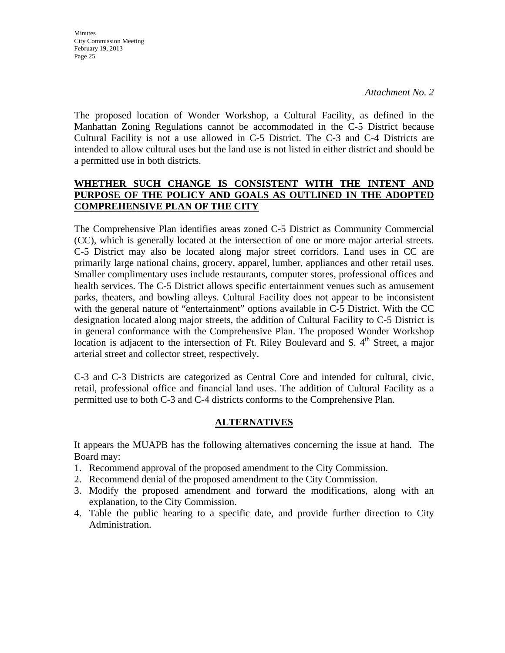The proposed location of Wonder Workshop, a Cultural Facility, as defined in the Manhattan Zoning Regulations cannot be accommodated in the C-5 District because Cultural Facility is not a use allowed in C-5 District. The C-3 and C-4 Districts are intended to allow cultural uses but the land use is not listed in either district and should be a permitted use in both districts.

## **WHETHER SUCH CHANGE IS CONSISTENT WITH THE INTENT AND PURPOSE OF THE POLICY AND GOALS AS OUTLINED IN THE ADOPTED COMPREHENSIVE PLAN OF THE CITY**

The Comprehensive Plan identifies areas zoned C-5 District as Community Commercial (CC), which is generally located at the intersection of one or more major arterial streets. C-5 District may also be located along major street corridors. Land uses in CC are primarily large national chains, grocery, apparel, lumber, appliances and other retail uses. Smaller complimentary uses include restaurants, computer stores, professional offices and health services. The C-5 District allows specific entertainment venues such as amusement parks, theaters, and bowling alleys. Cultural Facility does not appear to be inconsistent with the general nature of "entertainment" options available in C-5 District. With the CC designation located along major streets, the addition of Cultural Facility to C-5 District is in general conformance with the Comprehensive Plan. The proposed Wonder Workshop location is adjacent to the intersection of Ft. Riley Boulevard and S.  $4<sup>th</sup>$  Street, a major arterial street and collector street, respectively.

C-3 and C-3 Districts are categorized as Central Core and intended for cultural, civic, retail, professional office and financial land uses. The addition of Cultural Facility as a permitted use to both C-3 and C-4 districts conforms to the Comprehensive Plan.

### **ALTERNATIVES**

It appears the MUAPB has the following alternatives concerning the issue at hand. The Board may:

- 1. Recommend approval of the proposed amendment to the City Commission.
- 2. Recommend denial of the proposed amendment to the City Commission.
- 3. Modify the proposed amendment and forward the modifications, along with an explanation, to the City Commission.
- 4. Table the public hearing to a specific date, and provide further direction to City Administration.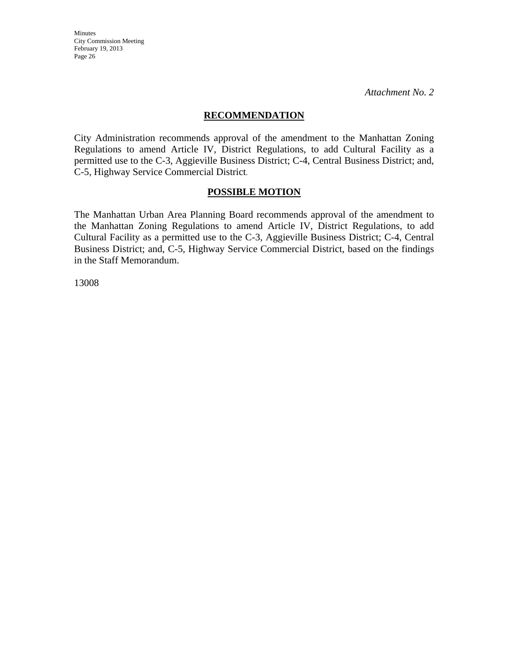*Attachment No. 2* 

#### **RECOMMENDATION**

City Administration recommends approval of the amendment to the Manhattan Zoning Regulations to amend Article IV, District Regulations, to add Cultural Facility as a permitted use to the C-3, Aggieville Business District; C-4, Central Business District; and, C-5, Highway Service Commercial District.

#### **POSSIBLE MOTION**

The Manhattan Urban Area Planning Board recommends approval of the amendment to the Manhattan Zoning Regulations to amend Article IV, District Regulations, to add Cultural Facility as a permitted use to the C-3, Aggieville Business District; C-4, Central Business District; and, C-5, Highway Service Commercial District, based on the findings in the Staff Memorandum.

13008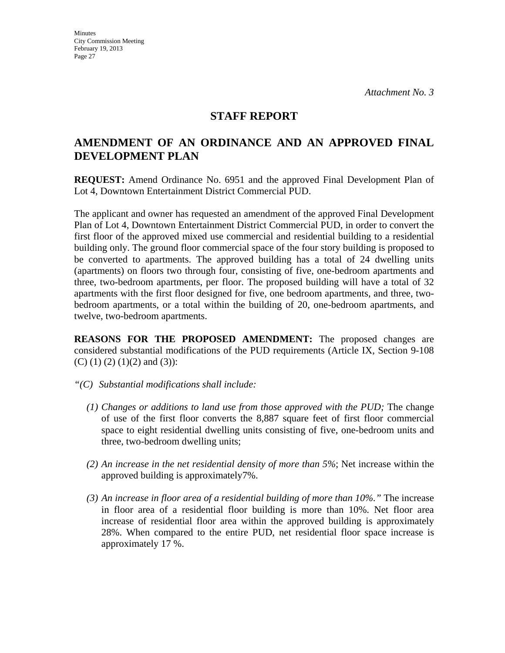## **STAFF REPORT**

# **AMENDMENT OF AN ORDINANCE AND AN APPROVED FINAL DEVELOPMENT PLAN**

**REQUEST:** Amend Ordinance No. 6951 and the approved Final Development Plan of Lot 4, Downtown Entertainment District Commercial PUD.

The applicant and owner has requested an amendment of the approved Final Development Plan of Lot 4, Downtown Entertainment District Commercial PUD, in order to convert the first floor of the approved mixed use commercial and residential building to a residential building only. The ground floor commercial space of the four story building is proposed to be converted to apartments. The approved building has a total of 24 dwelling units (apartments) on floors two through four, consisting of five, one-bedroom apartments and three, two-bedroom apartments, per floor. The proposed building will have a total of 32 apartments with the first floor designed for five, one bedroom apartments, and three, twobedroom apartments, or a total within the building of 20, one-bedroom apartments, and twelve, two-bedroom apartments.

**REASONS FOR THE PROPOSED AMENDMENT:** The proposed changes are considered substantial modifications of the PUD requirements (Article IX, Section 9-108 (C) (1) (2) (1)(2) and (3)):

- *"(C) Substantial modifications shall include:* 
	- *(1) Changes or additions to land use from those approved with the PUD;* The change of use of the first floor converts the 8,887 square feet of first floor commercial space to eight residential dwelling units consisting of five, one-bedroom units and three, two-bedroom dwelling units;
	- *(2) An increase in the net residential density of more than 5%*; Net increase within the approved building is approximately7%.
	- *(3) An increase in floor area of a residential building of more than 10%."* The increase in floor area of a residential floor building is more than 10%. Net floor area increase of residential floor area within the approved building is approximately 28%. When compared to the entire PUD, net residential floor space increase is approximately 17 %.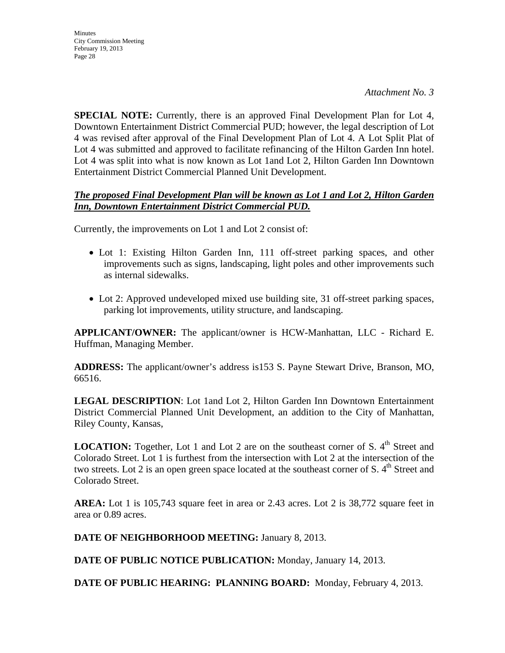**SPECIAL NOTE:** Currently, there is an approved Final Development Plan for Lot 4, Downtown Entertainment District Commercial PUD; however, the legal description of Lot 4 was revised after approval of the Final Development Plan of Lot 4. A Lot Split Plat of Lot 4 was submitted and approved to facilitate refinancing of the Hilton Garden Inn hotel. Lot 4 was split into what is now known as Lot 1and Lot 2, Hilton Garden Inn Downtown Entertainment District Commercial Planned Unit Development.

#### *The proposed Final Development Plan will be known as Lot 1 and Lot 2, Hilton Garden Inn, Downtown Entertainment District Commercial PUD.*

Currently, the improvements on Lot 1 and Lot 2 consist of:

- Lot 1: Existing Hilton Garden Inn, 111 off-street parking spaces, and other improvements such as signs, landscaping, light poles and other improvements such as internal sidewalks.
- Lot 2: Approved undeveloped mixed use building site, 31 off-street parking spaces, parking lot improvements, utility structure, and landscaping.

**APPLICANT/OWNER:** The applicant/owner is HCW-Manhattan, LLC - Richard E. Huffman, Managing Member.

**ADDRESS:** The applicant/owner's address is153 S. Payne Stewart Drive, Branson, MO, 66516.

**LEGAL DESCRIPTION**: Lot 1and Lot 2, Hilton Garden Inn Downtown Entertainment District Commercial Planned Unit Development, an addition to the City of Manhattan, Riley County, Kansas,

**LOCATION:** Together, Lot 1 and Lot 2 are on the southeast corner of S. 4<sup>th</sup> Street and Colorado Street. Lot 1 is furthest from the intersection with Lot 2 at the intersection of the two streets. Lot 2 is an open green space located at the southeast corner of S.  $4<sup>th</sup>$  Street and Colorado Street.

**AREA:** Lot 1 is 105,743 square feet in area or 2.43 acres. Lot 2 is 38,772 square feet in area or 0.89 acres.

**DATE OF NEIGHBORHOOD MEETING:** January 8, 2013.

**DATE OF PUBLIC NOTICE PUBLICATION:** Monday, January 14, 2013.

**DATE OF PUBLIC HEARING: PLANNING BOARD:** Monday, February 4, 2013.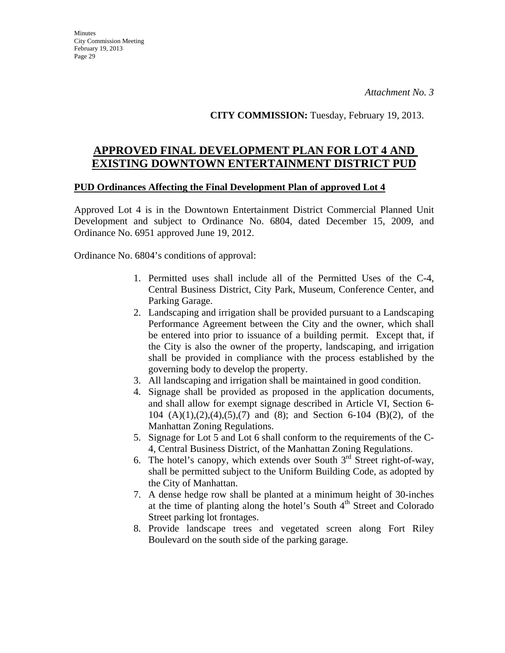**CITY COMMISSION:** Tuesday, February 19, 2013.

# **APPROVED FINAL DEVELOPMENT PLAN FOR LOT 4 AND EXISTING DOWNTOWN ENTERTAINMENT DISTRICT PUD**

#### **PUD Ordinances Affecting the Final Development Plan of approved Lot 4**

Approved Lot 4 is in the Downtown Entertainment District Commercial Planned Unit Development and subject to Ordinance No. 6804, dated December 15, 2009, and Ordinance No. 6951 approved June 19, 2012.

Ordinance No. 6804's conditions of approval:

- 1. Permitted uses shall include all of the Permitted Uses of the C-4, Central Business District, City Park, Museum, Conference Center, and Parking Garage.
- 2. Landscaping and irrigation shall be provided pursuant to a Landscaping Performance Agreement between the City and the owner, which shall be entered into prior to issuance of a building permit. Except that, if the City is also the owner of the property, landscaping, and irrigation shall be provided in compliance with the process established by the governing body to develop the property.
- 3. All landscaping and irrigation shall be maintained in good condition.
- 4. Signage shall be provided as proposed in the application documents, and shall allow for exempt signage described in Article VI, Section 6- 104 (A)(1),(2),(4),(5),(7) and (8); and Section 6-104 (B)(2), of the Manhattan Zoning Regulations.
- 5. Signage for Lot 5 and Lot 6 shall conform to the requirements of the C-4, Central Business District, of the Manhattan Zoning Regulations.
- 6. The hotel's canopy, which extends over South  $3<sup>rd</sup>$  Street right-of-way, shall be permitted subject to the Uniform Building Code, as adopted by the City of Manhattan.
- 7. A dense hedge row shall be planted at a minimum height of 30-inches at the time of planting along the hotel's South 4<sup>th</sup> Street and Colorado Street parking lot frontages.
- 8. Provide landscape trees and vegetated screen along Fort Riley Boulevard on the south side of the parking garage.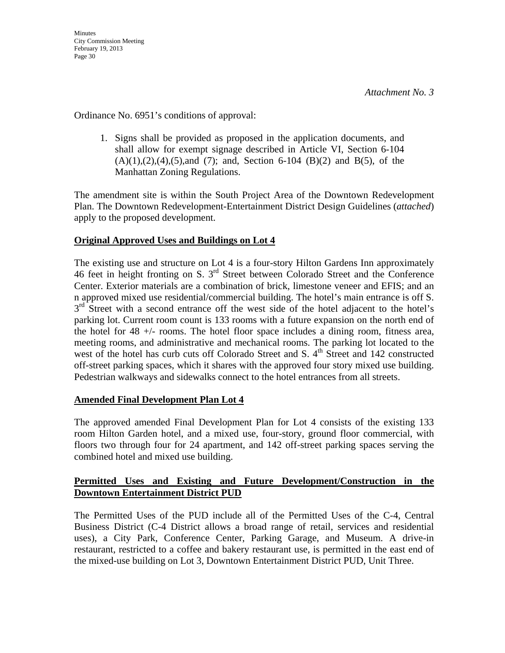Ordinance No. 6951's conditions of approval:

1. Signs shall be provided as proposed in the application documents, and shall allow for exempt signage described in Article VI, Section 6-104  $(A)(1),(2),(4),(5)$ ,and  $(7)$ ; and, Section 6-104  $(B)(2)$  and  $B(5)$ , of the Manhattan Zoning Regulations.

The amendment site is within the South Project Area of the Downtown Redevelopment Plan. The Downtown Redevelopment-Entertainment District Design Guidelines (*attached*) apply to the proposed development.

## **Original Approved Uses and Buildings on Lot 4**

The existing use and structure on Lot 4 is a four-story Hilton Gardens Inn approximately 46 feet in height fronting on S. 3rd Street between Colorado Street and the Conference Center. Exterior materials are a combination of brick, limestone veneer and EFIS; and an n approved mixed use residential/commercial building. The hotel's main entrance is off S.  $3<sup>rd</sup>$  Street with a second entrance off the west side of the hotel adjacent to the hotel's parking lot. Current room count is 133 rooms with a future expansion on the north end of the hotel for 48 +/- rooms. The hotel floor space includes a dining room, fitness area, meeting rooms, and administrative and mechanical rooms. The parking lot located to the west of the hotel has curb cuts off Colorado Street and S.  $4<sup>th</sup>$  Street and 142 constructed off-street parking spaces, which it shares with the approved four story mixed use building. Pedestrian walkways and sidewalks connect to the hotel entrances from all streets.

### **Amended Final Development Plan Lot 4**

The approved amended Final Development Plan for Lot 4 consists of the existing 133 room Hilton Garden hotel, and a mixed use, four-story, ground floor commercial, with floors two through four for 24 apartment, and 142 off-street parking spaces serving the combined hotel and mixed use building.

#### **Permitted Uses and Existing and Future Development/Construction in the Downtown Entertainment District PUD**

The Permitted Uses of the PUD include all of the Permitted Uses of the C-4, Central Business District (C-4 District allows a broad range of retail, services and residential uses), a City Park, Conference Center, Parking Garage, and Museum. A drive-in restaurant, restricted to a coffee and bakery restaurant use, is permitted in the east end of the mixed-use building on Lot 3, Downtown Entertainment District PUD, Unit Three.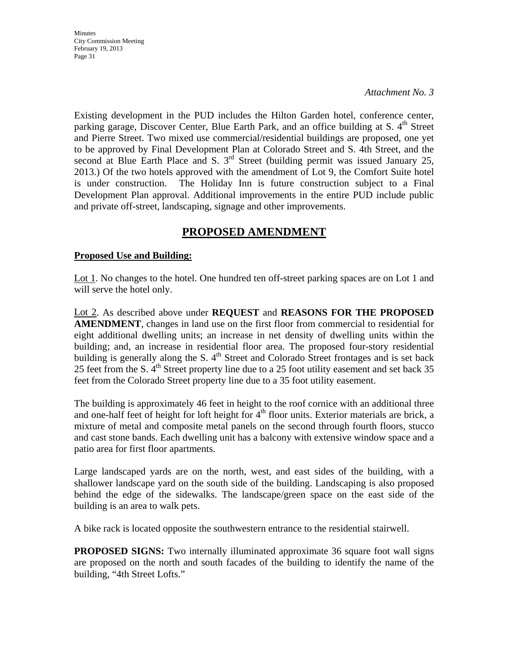*Attachment No. 3* 

Existing development in the PUD includes the Hilton Garden hotel, conference center, parking garage, Discover Center, Blue Earth Park, and an office building at S. 4<sup>th</sup> Street and Pierre Street. Two mixed use commercial/residential buildings are proposed, one yet to be approved by Final Development Plan at Colorado Street and S. 4th Street, and the second at Blue Earth Place and S.  $3<sup>rd</sup>$  Street (building permit was issued January 25, 2013.) Of the two hotels approved with the amendment of Lot 9, the Comfort Suite hotel is under construction. The Holiday Inn is future construction subject to a Final Development Plan approval. Additional improvements in the entire PUD include public and private off-street, landscaping, signage and other improvements.

# **PROPOSED AMENDMENT**

### **Proposed Use and Building:**

Lot 1. No changes to the hotel. One hundred ten off-street parking spaces are on Lot 1 and will serve the hotel only.

Lot 2. As described above under **REQUEST** and **REASONS FOR THE PROPOSED AMENDMENT**, changes in land use on the first floor from commercial to residential for eight additional dwelling units; an increase in net density of dwelling units within the building; and, an increase in residential floor area. The proposed four-story residential building is generally along the S.  $4<sup>th</sup>$  Street and Colorado Street frontages and is set back 25 feet from the S.  $4<sup>th</sup>$  Street property line due to a 25 foot utility easement and set back 35 feet from the Colorado Street property line due to a 35 foot utility easement.

The building is approximately 46 feet in height to the roof cornice with an additional three and one-half feet of height for loft height for  $4<sup>th</sup>$  floor units. Exterior materials are brick, a mixture of metal and composite metal panels on the second through fourth floors, stucco and cast stone bands. Each dwelling unit has a balcony with extensive window space and a patio area for first floor apartments.

Large landscaped yards are on the north, west, and east sides of the building, with a shallower landscape yard on the south side of the building. Landscaping is also proposed behind the edge of the sidewalks. The landscape/green space on the east side of the building is an area to walk pets.

A bike rack is located opposite the southwestern entrance to the residential stairwell.

**PROPOSED SIGNS:** Two internally illuminated approximate 36 square foot wall signs are proposed on the north and south facades of the building to identify the name of the building, "4th Street Lofts."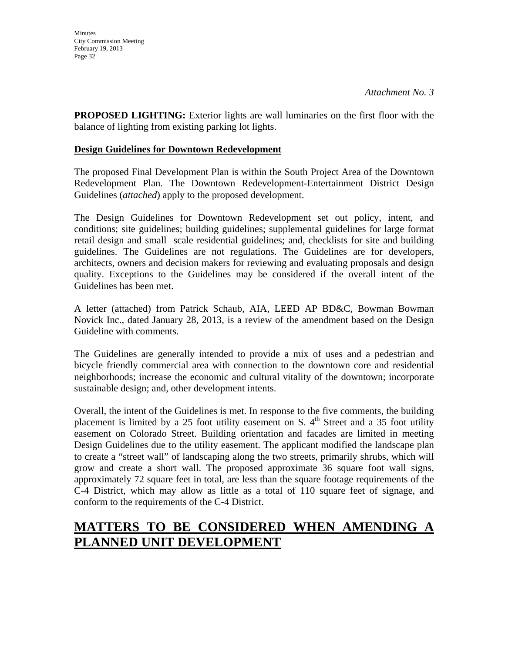**PROPOSED LIGHTING:** Exterior lights are wall luminaries on the first floor with the balance of lighting from existing parking lot lights.

#### **Design Guidelines for Downtown Redevelopment**

The proposed Final Development Plan is within the South Project Area of the Downtown Redevelopment Plan. The Downtown Redevelopment-Entertainment District Design Guidelines (*attached*) apply to the proposed development.

The Design Guidelines for Downtown Redevelopment set out policy, intent, and conditions; site guidelines; building guidelines; supplemental guidelines for large format retail design and small scale residential guidelines; and, checklists for site and building guidelines. The Guidelines are not regulations. The Guidelines are for developers, architects, owners and decision makers for reviewing and evaluating proposals and design quality. Exceptions to the Guidelines may be considered if the overall intent of the Guidelines has been met.

A letter (attached) from Patrick Schaub, AIA, LEED AP BD&C, Bowman Bowman Novick Inc., dated January 28, 2013, is a review of the amendment based on the Design Guideline with comments.

The Guidelines are generally intended to provide a mix of uses and a pedestrian and bicycle friendly commercial area with connection to the downtown core and residential neighborhoods; increase the economic and cultural vitality of the downtown; incorporate sustainable design; and, other development intents.

Overall, the intent of the Guidelines is met. In response to the five comments, the building placement is limited by a 25 foot utility easement on S.  $4<sup>th</sup>$  Street and a 35 foot utility easement on Colorado Street. Building orientation and facades are limited in meeting Design Guidelines due to the utility easement. The applicant modified the landscape plan to create a "street wall" of landscaping along the two streets, primarily shrubs, which will grow and create a short wall. The proposed approximate 36 square foot wall signs, approximately 72 square feet in total, are less than the square footage requirements of the C-4 District, which may allow as little as a total of 110 square feet of signage, and conform to the requirements of the C-4 District.

# **MATTERS TO BE CONSIDERED WHEN AMENDING A PLANNED UNIT DEVELOPMENT**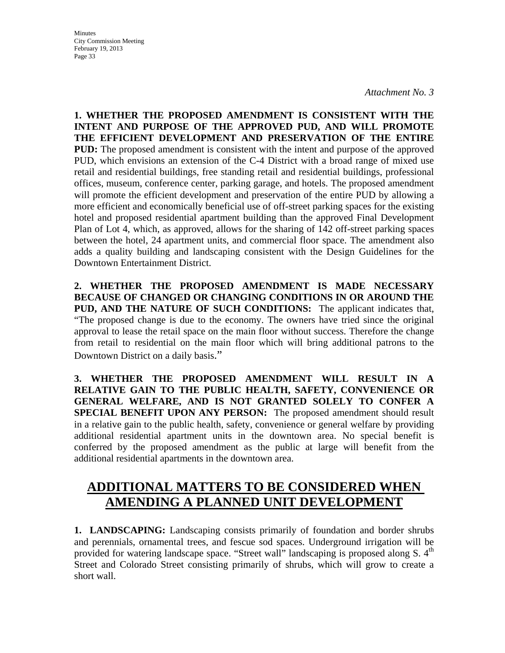*Attachment No. 3* 

**1. WHETHER THE PROPOSED AMENDMENT IS CONSISTENT WITH THE INTENT AND PURPOSE OF THE APPROVED PUD, AND WILL PROMOTE THE EFFICIENT DEVELOPMENT AND PRESERVATION OF THE ENTIRE PUD:** The proposed amendment is consistent with the intent and purpose of the approved PUD, which envisions an extension of the C-4 District with a broad range of mixed use retail and residential buildings, free standing retail and residential buildings, professional offices, museum, conference center, parking garage, and hotels. The proposed amendment will promote the efficient development and preservation of the entire PUD by allowing a more efficient and economically beneficial use of off-street parking spaces for the existing hotel and proposed residential apartment building than the approved Final Development Plan of Lot 4, which, as approved, allows for the sharing of 142 off-street parking spaces between the hotel, 24 apartment units, and commercial floor space. The amendment also adds a quality building and landscaping consistent with the Design Guidelines for the Downtown Entertainment District.

**2. WHETHER THE PROPOSED AMENDMENT IS MADE NECESSARY BECAUSE OF CHANGED OR CHANGING CONDITIONS IN OR AROUND THE PUD, AND THE NATURE OF SUCH CONDITIONS:** The applicant indicates that, "The proposed change is due to the economy. The owners have tried since the original approval to lease the retail space on the main floor without success. Therefore the change from retail to residential on the main floor which will bring additional patrons to the Downtown District on a daily basis."

**3. WHETHER THE PROPOSED AMENDMENT WILL RESULT IN A RELATIVE GAIN TO THE PUBLIC HEALTH, SAFETY, CONVENIENCE OR GENERAL WELFARE, AND IS NOT GRANTED SOLELY TO CONFER A SPECIAL BENEFIT UPON ANY PERSON:** The proposed amendment should result in a relative gain to the public health, safety, convenience or general welfare by providing additional residential apartment units in the downtown area. No special benefit is conferred by the proposed amendment as the public at large will benefit from the additional residential apartments in the downtown area.

# **ADDITIONAL MATTERS TO BE CONSIDERED WHEN AMENDING A PLANNED UNIT DEVELOPMENT**

**1. LANDSCAPING:** Landscaping consists primarily of foundation and border shrubs and perennials, ornamental trees, and fescue sod spaces. Underground irrigation will be provided for watering landscape space. "Street wall" landscaping is proposed along S. 4<sup>th</sup> Street and Colorado Street consisting primarily of shrubs, which will grow to create a short wall.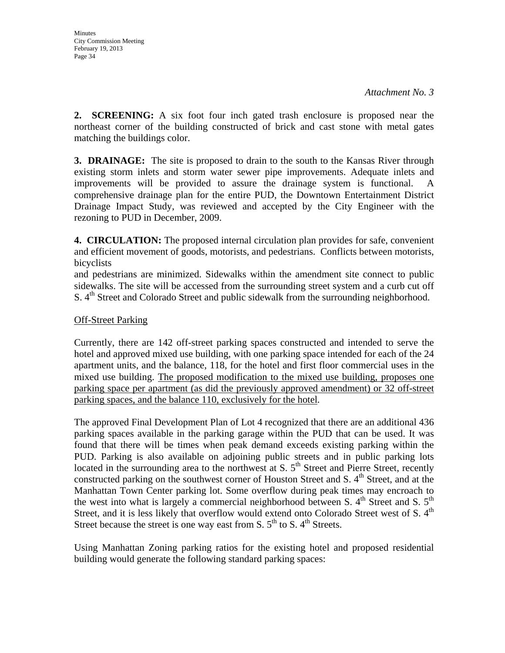**2. SCREENING:** A six foot four inch gated trash enclosure is proposed near the northeast corner of the building constructed of brick and cast stone with metal gates matching the buildings color.

**3. DRAINAGE:** The site is proposed to drain to the south to the Kansas River through existing storm inlets and storm water sewer pipe improvements. Adequate inlets and improvements will be provided to assure the drainage system is functional. A comprehensive drainage plan for the entire PUD, the Downtown Entertainment District Drainage Impact Study, was reviewed and accepted by the City Engineer with the rezoning to PUD in December, 2009.

**4. CIRCULATION:** The proposed internal circulation plan provides for safe, convenient and efficient movement of goods, motorists, and pedestrians. Conflicts between motorists, bicyclists

and pedestrians are minimized. Sidewalks within the amendment site connect to public sidewalks. The site will be accessed from the surrounding street system and a curb cut off S. 4<sup>th</sup> Street and Colorado Street and public sidewalk from the surrounding neighborhood.

#### Off-Street Parking

Currently, there are 142 off-street parking spaces constructed and intended to serve the hotel and approved mixed use building, with one parking space intended for each of the 24 apartment units, and the balance, 118, for the hotel and first floor commercial uses in the mixed use building. The proposed modification to the mixed use building, proposes one parking space per apartment (as did the previously approved amendment) or 32 off-street parking spaces, and the balance 110, exclusively for the hotel.

The approved Final Development Plan of Lot 4 recognized that there are an additional 436 parking spaces available in the parking garage within the PUD that can be used. It was found that there will be times when peak demand exceeds existing parking within the PUD. Parking is also available on adjoining public streets and in public parking lots located in the surrounding area to the northwest at S,  $5<sup>th</sup>$  Street and Pierre Street, recently constructed parking on the southwest corner of Houston Street and S.  $4<sup>th</sup>$  Street, and at the Manhattan Town Center parking lot. Some overflow during peak times may encroach to the west into what is largely a commercial neighborhood between S.  $4<sup>th</sup>$  Street and S.  $5<sup>th</sup>$ Street, and it is less likely that overflow would extend onto Colorado Street west of S.  $4<sup>th</sup>$ Street because the street is one way east from S.  $5<sup>th</sup>$  to S.  $4<sup>th</sup>$  Streets.

Using Manhattan Zoning parking ratios for the existing hotel and proposed residential building would generate the following standard parking spaces: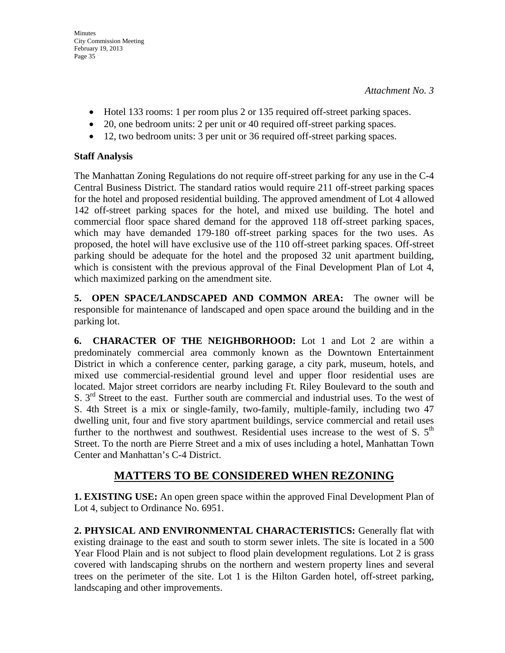- Hotel 133 rooms: 1 per room plus 2 or 135 required off-street parking spaces.
- 20, one bedroom units: 2 per unit or 40 required off-street parking spaces.
- 12, two bedroom units: 3 per unit or 36 required off-street parking spaces.

### **Staff Analysis**

The Manhattan Zoning Regulations do not require off-street parking for any use in the C-4 Central Business District. The standard ratios would require 211 off-street parking spaces for the hotel and proposed residential building. The approved amendment of Lot 4 allowed 142 off-street parking spaces for the hotel, and mixed use building. The hotel and commercial floor space shared demand for the approved 118 off-street parking spaces, which may have demanded 179-180 off-street parking spaces for the two uses. As proposed, the hotel will have exclusive use of the 110 off-street parking spaces. Off-street parking should be adequate for the hotel and the proposed 32 unit apartment building, which is consistent with the previous approval of the Final Development Plan of Lot 4, which maximized parking on the amendment site.

**5. OPEN SPACE/LANDSCAPED AND COMMON AREA:** The owner will be responsible for maintenance of landscaped and open space around the building and in the parking lot.

**6. CHARACTER OF THE NEIGHBORHOOD:** Lot 1 and Lot 2 are within a predominately commercial area commonly known as the Downtown Entertainment District in which a conference center, parking garage, a city park, museum, hotels, and mixed use commercial-residential ground level and upper floor residential uses are located. Major street corridors are nearby including Ft. Riley Boulevard to the south and S.  $3<sup>rd</sup>$  Street to the east. Further south are commercial and industrial uses. To the west of S. 4th Street is a mix or single-family, two-family, multiple-family, including two 47 dwelling unit, four and five story apartment buildings, service commercial and retail uses further to the northwest and southwest. Residential uses increase to the west of S.  $5<sup>th</sup>$ Street. To the north are Pierre Street and a mix of uses including a hotel, Manhattan Town Center and Manhattan's C-4 District.

# **MATTERS TO BE CONSIDERED WHEN REZONING**

**1. EXISTING USE:** An open green space within the approved Final Development Plan of Lot 4, subject to Ordinance No. 6951.

**2. PHYSICAL AND ENVIRONMENTAL CHARACTERISTICS:** Generally flat with existing drainage to the east and south to storm sewer inlets. The site is located in a 500 Year Flood Plain and is not subject to flood plain development regulations. Lot 2 is grass covered with landscaping shrubs on the northern and western property lines and several trees on the perimeter of the site. Lot 1 is the Hilton Garden hotel, off-street parking, landscaping and other improvements.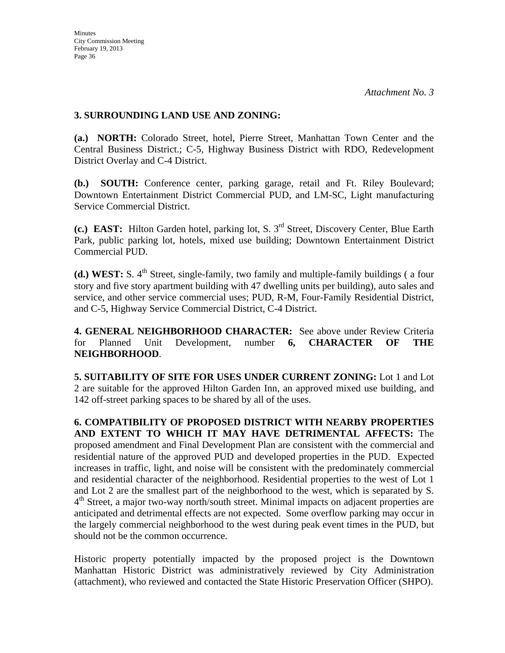### **3. SURROUNDING LAND USE AND ZONING:**

**(a.) NORTH:** Colorado Street, hotel, Pierre Street, Manhattan Town Center and the Central Business District.; C-5, Highway Business District with RDO, Redevelopment District Overlay and C-4 District.

**(b.) SOUTH:** Conference center, parking garage, retail and Ft. Riley Boulevard; Downtown Entertainment District Commercial PUD, and LM-SC, Light manufacturing Service Commercial District.

**(c.) EAST:** Hilton Garden hotel, parking lot, S. 3rd Street, Discovery Center, Blue Earth Park, public parking lot, hotels, mixed use building; Downtown Entertainment District Commercial PUD.

**(d.) WEST:** S. 4<sup>th</sup> Street, single-family, two family and multiple-family buildings (a four story and five story apartment building with 47 dwelling units per building), auto sales and service, and other service commercial uses; PUD, R-M, Four-Family Residential District, and C-5, Highway Service Commercial District, C-4 District.

**4. GENERAL NEIGHBORHOOD CHARACTER:** See above under Review Criteria for Planned Unit Development, number **6, CHARACTER OF THE NEIGHBORHOOD**.

**5. SUITABILITY OF SITE FOR USES UNDER CURRENT ZONING:** Lot 1 and Lot 2 are suitable for the approved Hilton Garden Inn, an approved mixed use building, and 142 off-street parking spaces to be shared by all of the uses.

**6. COMPATIBILITY OF PROPOSED DISTRICT WITH NEARBY PROPERTIES AND EXTENT TO WHICH IT MAY HAVE DETRIMENTAL AFFECTS:** The proposed amendment and Final Development Plan are consistent with the commercial and residential nature of the approved PUD and developed properties in the PUD. Expected increases in traffic, light, and noise will be consistent with the predominately commercial and residential character of the neighborhood. Residential properties to the west of Lot 1 and Lot 2 are the smallest part of the neighborhood to the west, which is separated by S.  $4<sup>th</sup>$  Street, a major two-way north/south street. Minimal impacts on adjacent properties are anticipated and detrimental effects are not expected. Some overflow parking may occur in the largely commercial neighborhood to the west during peak event times in the PUD, but should not be the common occurrence.

Historic property potentially impacted by the proposed project is the Downtown Manhattan Historic District was administratively reviewed by City Administration (attachment), who reviewed and contacted the State Historic Preservation Officer (SHPO).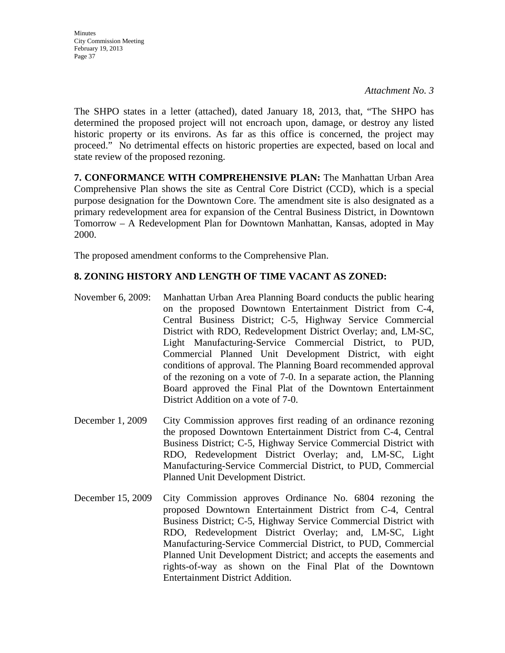The SHPO states in a letter (attached), dated January 18, 2013, that, "The SHPO has determined the proposed project will not encroach upon, damage, or destroy any listed historic property or its environs. As far as this office is concerned, the project may proceed." No detrimental effects on historic properties are expected, based on local and state review of the proposed rezoning.

**7. CONFORMANCE WITH COMPREHENSIVE PLAN:** The Manhattan Urban Area Comprehensive Plan shows the site as Central Core District (CCD), which is a special purpose designation for the Downtown Core. The amendment site is also designated as a primary redevelopment area for expansion of the Central Business District, in Downtown Tomorrow – A Redevelopment Plan for Downtown Manhattan, Kansas, adopted in May 2000.

The proposed amendment conforms to the Comprehensive Plan.

### **8. ZONING HISTORY AND LENGTH OF TIME VACANT AS ZONED:**

- November 6, 2009: Manhattan Urban Area Planning Board conducts the public hearing on the proposed Downtown Entertainment District from C-4, Central Business District; C-5, Highway Service Commercial District with RDO, Redevelopment District Overlay; and, LM-SC, Light Manufacturing-Service Commercial District, to PUD, Commercial Planned Unit Development District, with eight conditions of approval. The Planning Board recommended approval of the rezoning on a vote of 7-0. In a separate action, the Planning Board approved the Final Plat of the Downtown Entertainment District Addition on a vote of 7-0.
- December 1, 2009 City Commission approves first reading of an ordinance rezoning the proposed Downtown Entertainment District from C-4, Central Business District; C-5, Highway Service Commercial District with RDO, Redevelopment District Overlay; and, LM-SC, Light Manufacturing-Service Commercial District, to PUD, Commercial Planned Unit Development District.
- December 15, 2009 City Commission approves Ordinance No. 6804 rezoning the proposed Downtown Entertainment District from C-4, Central Business District; C-5, Highway Service Commercial District with RDO, Redevelopment District Overlay; and, LM-SC, Light Manufacturing-Service Commercial District, to PUD, Commercial Planned Unit Development District; and accepts the easements and rights-of-way as shown on the Final Plat of the Downtown Entertainment District Addition.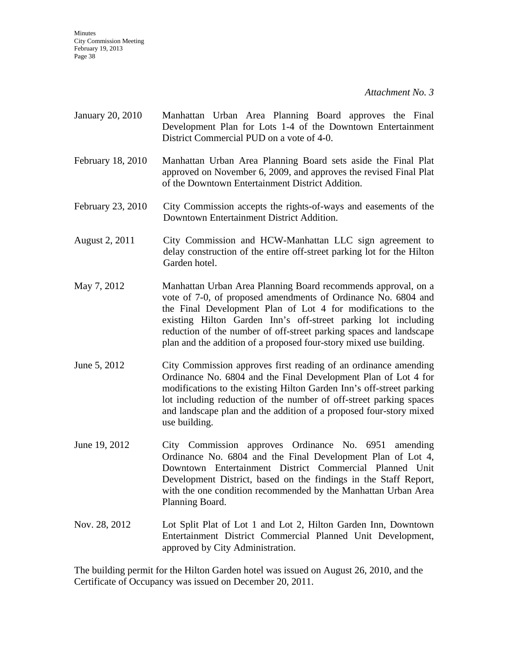*Attachment No. 3* 

- January 20, 2010 Manhattan Urban Area Planning Board approves the Final Development Plan for Lots 1-4 of the Downtown Entertainment District Commercial PUD on a vote of 4-0.
- February 18, 2010 Manhattan Urban Area Planning Board sets aside the Final Plat approved on November 6, 2009, and approves the revised Final Plat of the Downtown Entertainment District Addition.
- February 23, 2010 City Commission accepts the rights-of-ways and easements of the Downtown Entertainment District Addition.
- August 2, 2011 City Commission and HCW-Manhattan LLC sign agreement to delay construction of the entire off-street parking lot for the Hilton Garden hotel.
- May 7, 2012 Manhattan Urban Area Planning Board recommends approval, on a vote of 7-0, of proposed amendments of Ordinance No. 6804 and the Final Development Plan of Lot 4 for modifications to the existing Hilton Garden Inn's off-street parking lot including reduction of the number of off-street parking spaces and landscape plan and the addition of a proposed four-story mixed use building.
- June 5, 2012 City Commission approves first reading of an ordinance amending Ordinance No. 6804 and the Final Development Plan of Lot 4 for modifications to the existing Hilton Garden Inn's off-street parking lot including reduction of the number of off-street parking spaces and landscape plan and the addition of a proposed four-story mixed use building.
- June 19, 2012 City Commission approves Ordinance No. 6951 amending Ordinance No. 6804 and the Final Development Plan of Lot 4, Downtown Entertainment District Commercial Planned Unit Development District, based on the findings in the Staff Report, with the one condition recommended by the Manhattan Urban Area Planning Board.
- Nov. 28, 2012 Lot Split Plat of Lot 1 and Lot 2, Hilton Garden Inn, Downtown Entertainment District Commercial Planned Unit Development, approved by City Administration.

The building permit for the Hilton Garden hotel was issued on August 26, 2010, and the Certificate of Occupancy was issued on December 20, 2011.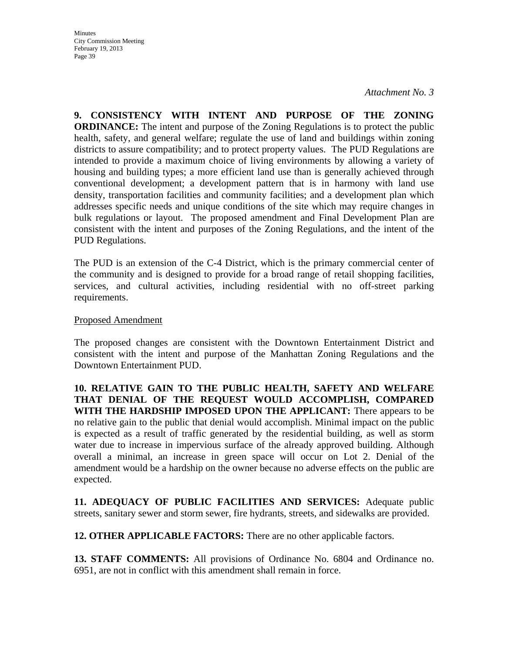*Attachment No. 3* 

**9. CONSISTENCY WITH INTENT AND PURPOSE OF THE ZONING ORDINANCE:** The intent and purpose of the Zoning Regulations is to protect the public health, safety, and general welfare; regulate the use of land and buildings within zoning districts to assure compatibility; and to protect property values. The PUD Regulations are intended to provide a maximum choice of living environments by allowing a variety of housing and building types; a more efficient land use than is generally achieved through conventional development; a development pattern that is in harmony with land use density, transportation facilities and community facilities; and a development plan which addresses specific needs and unique conditions of the site which may require changes in bulk regulations or layout. The proposed amendment and Final Development Plan are consistent with the intent and purposes of the Zoning Regulations, and the intent of the PUD Regulations.

The PUD is an extension of the C-4 District, which is the primary commercial center of the community and is designed to provide for a broad range of retail shopping facilities, services, and cultural activities, including residential with no off-street parking requirements.

#### Proposed Amendment

The proposed changes are consistent with the Downtown Entertainment District and consistent with the intent and purpose of the Manhattan Zoning Regulations and the Downtown Entertainment PUD.

**10. RELATIVE GAIN TO THE PUBLIC HEALTH, SAFETY AND WELFARE THAT DENIAL OF THE REQUEST WOULD ACCOMPLISH, COMPARED WITH THE HARDSHIP IMPOSED UPON THE APPLICANT:** There appears to be no relative gain to the public that denial would accomplish. Minimal impact on the public is expected as a result of traffic generated by the residential building, as well as storm water due to increase in impervious surface of the already approved building. Although overall a minimal, an increase in green space will occur on Lot 2. Denial of the amendment would be a hardship on the owner because no adverse effects on the public are expected.

**11. ADEQUACY OF PUBLIC FACILITIES AND SERVICES:** Adequate public streets, sanitary sewer and storm sewer, fire hydrants, streets, and sidewalks are provided.

**12. OTHER APPLICABLE FACTORS:** There are no other applicable factors.

**13. STAFF COMMENTS:** All provisions of Ordinance No. 6804 and Ordinance no. 6951, are not in conflict with this amendment shall remain in force.